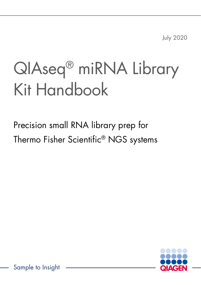July 2020

# QIAseq® miRNA Library Kit Handbook

Precision small RNA library prep for Thermo Fisher Scientific® NGS systems



Sample to Insight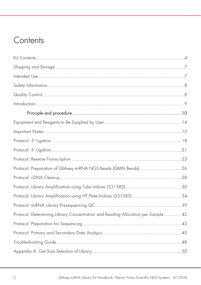# Contents

| Protocol: Determining Library Concentration and Reading Allocation per Sample 42 |
|----------------------------------------------------------------------------------|
|                                                                                  |
|                                                                                  |
|                                                                                  |
|                                                                                  |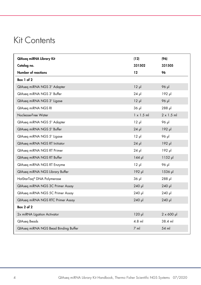# <span id="page-3-0"></span>Kit Contents

| QIAseg miRNA Library Kit               | (12)              | (96)               |
|----------------------------------------|-------------------|--------------------|
| Catalog no.                            | 331502            | 331505             |
| Number of reactions                    | $12 \,$           | 96                 |
| Box 1 of 2                             |                   |                    |
| QIAseq miRNA NGS 3' Adapter            | $12 \mu$          | 96 µl              |
| QIAseq miRNA NGS 3' Buffer             | $24$ pl           | $192$ µ            |
| QIAseq miRNA NGS 3' Ligase             | $12 \mu$          | 96 µl              |
| QIAseq miRNA NGS RI                    | $36$ $\mu$        | 288 µl             |
| Nuclease-Free Water                    | $1 \times 1.5$ ml | $2 \times 1.5$ ml  |
| QIAseq miRNA NGS 5' Adapter            | $12 \mu$          | 96 µl              |
| QIAseq miRNA NGS 5' Buffer             | $24$ $\mu$        | $192$ pl           |
| QIAseg miRNA NGS 5' Ligase             | $12 \mu$          | 96 µl              |
| QIAseq miRNA NGS RT Initiator          | $24$ $\mu$        | $192$ pl           |
| QIAseq miRNA NGS RT Primer             | $24$ $\mu$        | 192 µl             |
| QIAseq miRNA NGS RT Buffer             | $144$ pl          | $1152$ µ           |
| QIAseq miRNA NGS RT Enzyme             | $12 \mu$          | 96 µl              |
| QIAseq miRNA NGS Library Buffer        | $192$ pl          | 1536 µl            |
| HotStarTag <sup>®</sup> DNA Polymerase | $36$ $\mu$        | $288$ pl           |
| QIAseq miRNA NGS 3C Primer Assay       | 240 µl            | 240 µl             |
| QIAseq miRNA NGS 5C Primer Assay       | 240 µl            | $240$ pl           |
| QIAseq miRNA NGS RTC Primer Assay      | 240 µl            | 240 µl             |
| Box $2$ of $2$                         |                   |                    |
| 2x miRNA Ligation Activator            | $120$ pl          | $2 \times 600 \mu$ |
| QIAseq Beads                           | $4.8$ ml          | 38.4 ml            |
| QIAseq miRNA NGS Bead Binding Buffer   | $7$ m             | 54 ml              |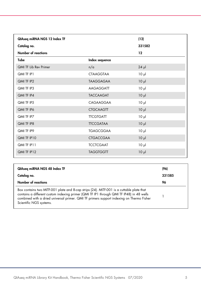| QIAseq miRNA NGS 12 Index TF |                  | (12)            |
|------------------------------|------------------|-----------------|
| Catalog no.                  |                  | 331582          |
| Number of reactions          |                  | 12              |
| Tube                         | Index sequence   |                 |
| <b>QMI TF Lib Rev Primer</b> | n/a              | $24$ pl         |
| QMI TF IP1                   | <b>CTAAGGTAA</b> | 10 <sub>µ</sub> |
| QMI TF IP2                   | <b>TAAGGAGAA</b> | $10 \mu$        |
| QMI TF IP3                   | <b>AAGAGGATT</b> | 10 <sub>µ</sub> |
| QMI TF IP4                   | <b>TACCAAGAT</b> | $10 \mu$        |
| QMI TF IP5                   | CAGAAGGAA        | 10 <sub>µ</sub> |
| QMI TF IP6                   | <b>CTGCAAGTT</b> | $10 \mu$        |
| QMI TF IP7                   | <b>TTCGTGATT</b> | 10 <sub>µ</sub> |
| QMI TF IP8                   | <b>TTCCGATAA</b> | $10 \mu$        |
| QMI TF IP9                   | <b>TGAGCGGAA</b> | $10 \mu$        |
| QMI TF IP10                  | <b>CTGACCGAA</b> | $10 \mu$        |
| QMI TF IP11                  | <b>TCCTCGAAT</b> | $10 \mu$        |
| QMI TF IP12                  | <b>TAGGTGGTT</b> | $10 \mu$        |

| QIAseg miRNA NGS 48 Index TF                                                                                                                                                                                                                                                                                | (96)   |
|-------------------------------------------------------------------------------------------------------------------------------------------------------------------------------------------------------------------------------------------------------------------------------------------------------------|--------|
| Catalog no.                                                                                                                                                                                                                                                                                                 | 331585 |
| Number of reactions                                                                                                                                                                                                                                                                                         | 96     |
| Box contains two MITF-001 plate and 8-cap strips (24). MITF-001 is a cuttable plate that<br>contains a different custom indexing primer (QMI TF IP1 through QMI TF IP48) in 48 wells<br>combined with a dried universal primer. QMI TF primers support indexing on Thermo Fisher<br>Scientific NGS systems. |        |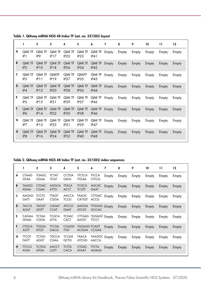|   | 1                                | $\mathbf{2}$                     | 3                                 | 4                                 | 5                                 | 6                     | 7     | 8     | 9     | 10    | 11    | 12    |
|---|----------------------------------|----------------------------------|-----------------------------------|-----------------------------------|-----------------------------------|-----------------------|-------|-------|-------|-------|-------|-------|
| A | <b>QMI TF</b><br>IP 1            | <b>QMI TF</b><br>IP <sub>9</sub> | QMI TF<br>IP17                    | QMI TF<br>IP25                    | QMI TF<br>IP33                    | QMI TF<br>IP41        | Empty | Empty | Empty | Empty | Empty | Empty |
| B | <b>QMI TF</b><br>IP2             | QMI TF<br><b>IP10</b>            | <b>QMI TF</b><br>IP18             | QMI TF<br>IP26                    | QMI TF<br>IP34                    | <b>QMI TF</b><br>IP42 | Empty | Empty | Empty | Empty | Empty | Empty |
| c | <b>QMI TF</b><br>IP <sub>3</sub> | QMI TF<br>IP11                   | <b>QMITF</b><br><b>IP19</b>       | QMI TF<br>IP27                    | <b>QMITF</b><br>IP <sub>35</sub>  | QMI TF Empty<br>IP43  |       | Empty | Empty | Empty | Empty | Empty |
| D | <b>QMI TF</b><br>IP4             | <b>QMI TF</b><br>IP12            | <b>QMI TF</b><br>IP <sub>20</sub> | <b>QMI TF</b><br>IP28             | <b>QMI TF</b><br>IP <sub>36</sub> | <b>QMI TF</b><br>IP44 | Empty | Empty | Empty | Empty | Empty | Empty |
| E | <b>QMI TF</b><br>IP <sub>5</sub> | QMI TF<br>IP13                   | QMI TF<br>IP21                    | QMI TF<br>IP <sub>29</sub>        | QMI TF<br>IP <sub>37</sub>        | QMI TF<br>IP45        | Empty | Empty | Empty | Empty | Empty | Empty |
| F | <b>QMI TF</b><br>IP <sub>6</sub> | <b>QMI TF</b><br>IP14            | QMI TF<br>IP22                    | <b>QMI TF</b><br>IP <sub>30</sub> | <b>QMI TF</b><br>IP38             | QMI TF<br><b>IP46</b> | Empty | Empty | Empty | Empty | Empty | Empty |
| G | <b>QMI TF</b><br>IP7             | <b>QMI TF</b><br><b>IP15</b>     | QMI TF<br>IP23                    | QMI TF<br>IP31                    | QMI TF<br>IP39                    | QMI TF<br>IP47        | Empty | Empty | Empty | Empty | Empty | Empty |
| н | <b>QMI TF</b><br>IP <sub>8</sub> | <b>QMI TF</b><br><b>IP16</b>     | <b>QMI TF</b><br>IP24             | <b>QMI TF</b><br>IP <sub>32</sub> | <b>QMI TF</b><br>IP40             | <b>QMI TF</b><br>IP48 | Empty | Empty | Empty | Empty | Empty | Empty |

Table 1. QIAseq miRNA NGS 48 Index TF (cat. no. 331585) layout

Table 2. QIAseq miRNA NGS 48 Index TF (cat. no. 331585) index sequences

|   |                             | $\mathbf{2}$                | 3                           | 4                           | 5                                  | 6                                   | 7     | 8     | 9     | 10    | 11    | 12    |
|---|-----------------------------|-----------------------------|-----------------------------|-----------------------------|------------------------------------|-------------------------------------|-------|-------|-------|-------|-------|-------|
| A | <b>CTAAG</b><br><b>GTAA</b> | <b>TGAGC</b><br><b>GGAA</b> | <b>TCTAT</b><br><b>TCGT</b> | <b>CCTGA</b><br><b>GATA</b> | <b>TTCTCA</b><br><b>TTGAA</b>      | <b>TTCCA</b><br><b>CTTCG</b>        | Empty | Empty | Empty | Empty | Empty | Empty |
| B | <b>TAAGG</b><br><b>AGAA</b> | <b>CTGAC</b><br><b>CGAA</b> | <b>AGGCA</b><br><b>ATTG</b> | <b>TTACA</b><br><b>ACCT</b> | <b>TCGCA</b><br><b>TCGTT</b>       | <b>AGCAC</b><br><b>GAAT</b>         | Empty | Empty | Empty | Empty | Empty | Empty |
| c | <b>AAGAG</b><br><b>GATT</b> | <b>TCCTC</b><br><b>GAAT</b> | <b>TTAGT</b><br><b>CGGA</b> | <b>AACCA</b><br><b>TCCG</b> | <b>TAAGC</b><br><b>CATTGT</b>      | CTTGAC Empty<br><b>ACCG</b>         |       | Empty | Empty | Empty | Empty | Empty |
| D | <b>TACCA</b><br><b>AGAT</b> | <b>TAGGT</b><br><b>GGTT</b> | <b>CAGAT</b><br><b>CCAT</b> | <b>ATCCG</b><br><b>GAAT</b> | <b>AAGGA</b><br><b>ATCGT</b>       | <b>TIGGAG Empty</b><br><b>GCCAG</b> |       | Empty | Empty | Empty | Empty | Empty |
| Е | CAGAA<br><b>GGAA</b>        | <b>TCTAA</b><br><b>CGGA</b> | <b>TCGCA</b><br><b>ATTA</b> | <b>TCGAC</b><br><b>CACT</b> | <b>AATGT</b>                       | CTTGAG TGGAGC Empty<br><b>TTCCT</b> |       | Empty | Empty | Empty | Empty | Empty |
| F | <b>CTGCA</b><br><b>AGTT</b> | <b>TTGGA</b><br><b>GTGT</b> | <b>TTCGA</b><br><b>GACG</b> | <b>CGAGG</b><br><b>TTAT</b> | <b>TGGAGG TCAGT</b><br>ACGGA CCGAA |                                     | Empty | Empty | Empty | Empty | Empty | Empty |
| G | <b>TTCGT</b><br><b>GATT</b> | <b>TCTAG</b><br><b>AGGT</b> | <b>TGCCA</b><br><b>CGAA</b> | <b>TCCAA</b><br><b>GCTG</b> | <b>TAACA</b><br><b>ATCGG</b>       | TAAGGC Empty<br><b>AACCA</b>        |       | Empty | Empty | Empty | Empty | Empty |
| н | <b>TTCCG</b><br><b>ATAA</b> | <b>TCTGG</b><br><b>ATGA</b> | <b>AACCT</b><br><b>CATT</b> | <b>TCTTA</b><br><b>CACA</b> | <b>CTGAC</b><br><b>ATAAT</b>       | <b>TTCTA</b><br><b>AGAGA</b>        | Empty | Empty | Empty | Empty | Empty | Empty |
|   |                             |                             |                             |                             |                                    |                                     |       |       |       |       |       |       |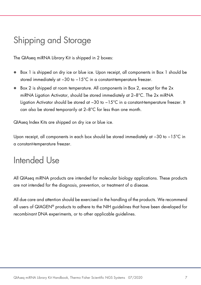# <span id="page-6-0"></span>Shipping and Storage

The QIAseq miRNA Library Kit is shipped in 2 boxes:

- Box 1 is shipped on dry ice or blue ice. Upon receipt, all components in Box 1 should be stored immediately at −30 to −15°C in a constant-temperature freezer.
- Box 2 is shipped at room temperature. All components in Box 2, except for the 2x miRNA Ligation Activator, should be stored immediately at 2–8°C. The 2x miRNA Ligation Activator should be stored at −30 to −15°C in a constant-temperature freezer. It can also be stored temporarily at 2–8°C for less than one month.

QIAseq Index Kits are shipped on dry ice or blue ice.

Upon receipt, all components in each box should be stored immediately at −30 to −15°C in a constant-temperature freezer.

# <span id="page-6-1"></span>Intended Use

All QIAseq miRNA products are intended for molecular biology applications. These products are not intended for the diagnosis, prevention, or treatment of a disease.

All due care and attention should be exercised in the handling of the products. We recommend all users of QIAGEN® products to adhere to the NIH guidelines that have been developed for recombinant DNA experiments, or to other applicable guidelines.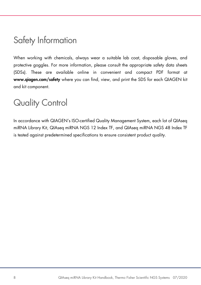# <span id="page-7-0"></span>Safety Information

When working with chemicals, always wear a suitable lab coat, disposable gloves, and protective goggles. For more information, please consult the appropriate safety data sheets (SDSs). These are available online in convenient and compact PDF format at [www.qiagen.com/safety](https://www.qiagen.com/ph/support/qa-qc-safety-data/safety-data-sheets/?akamai-feo=off) where you can find, view, and print the SDS for each QIAGEN kit and kit component.

# <span id="page-7-1"></span>Quality Control

In accordance with QIAGEN's ISO-certified Quality Management System, each lot of QIAseq miRNA Library Kit, QIAseq miRNA NGS 12 Index TF, and QIAseq miRNA NGS 48 Index TF is tested against predetermined specifications to ensure consistent product quality.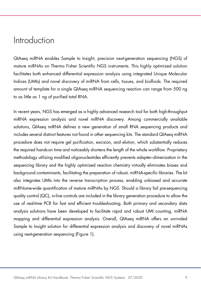# <span id="page-8-0"></span>**Introduction**

QIAseq miRNA enables Sample to Insight, precision next-generation sequencing (NGS) of mature miRNAs on Thermo Fisher Scientific NGS instruments. This highly optimized solution facilitates both enhanced differential expression analysis using integrated Unique Molecular Indices (UMIs) and novel discovery of miRNA from cells, tissues, and biofluids. The required amount of template for a single QIAseq miRNA sequencing reaction can range from 500 ng to as little as 1 ng of purified total RNA.

In recent years, NGS has emerged as a highly advanced research tool for both high-throughput miRNA expression analysis and novel miRNA discovery. Among commercially available solutions, QIAseq miRNA defines a new generation of small RNA sequencing products and includes several distinct features not found in other sequencing kits. The standard QIAseq miRNA procedure does not require gel purification, excision, and elution, which substantially reduces the required hands-on time and noticeably shortens the length of the whole workflow. Proprietary methodology utilizing modified oligonucleotides efficiently prevents adapter–dimerization in the sequencing library and the highly optimized reaction chemistry virtually eliminates biases and background contaminants, facilitating the preparation of robust, miRNA-specific libraries. The kit also integrates UMIs into the reverse transcription process, enabling unbiased and accurate miRNome-wide quantification of mature miRNAs by NGS. Should a library fail pre-sequencing quality control (QC), in-line controls are included in the library generation procedure to allow the use of real-time PCR for fast and efficient troubleshooting. Both primary and secondary data analysis solutions have been developed to facilitate rapid and robust UMI counting, miRNA mapping and differential expression analysis. Overall, QIAseq miRNA offers an unrivaled Sample to Insight solution for differential expression analysis and discovery of novel miRNAs using next-generation sequencing [\(Figure 1\)](#page-9-1).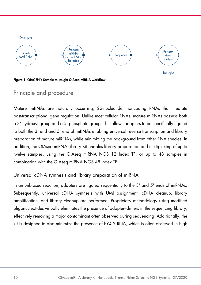

<span id="page-9-1"></span>Figure 1. QIAGEN's Sample to Insight QIAseq miRNA workflow.

# <span id="page-9-0"></span>Principle and procedure

Mature miRNAs are naturally occurring, 22-nucleotide, noncoding RNAs that mediate post-transcriptional gene regulation. Unlike most cellular RNAs, mature miRNAs possess both a 3' hydroxyl group and a 5' phosphate group. This allows adapters to be specifically ligated to both the 3' end and 5' end of miRNAs enabling universal reverse transcription and library preparation of mature miRNAs, while minimizing the background from other RNA species. In addition, the QIAseq miRNA Library Kit enables library preparation and multiplexing of up to twelve samples, using the QIAseq miRNA NGS 12 Index TF, or up to 48 samples in combination with the QIAseq miRNA NGS 48 Index TF.

# Universal cDNA synthesis and library preparation of miRNA

In an unbiased reaction, adapters are ligated sequentially to the 3' and 5' ends of miRNAs. Subsequently, universal cDNA synthesis with UMI assignment, cDNA cleanup, library amplification, and library cleanup are performed. Proprietary methodology using modified oligonucleotides virtually eliminates the presence of adapter–dimers in the sequencing library, effectively removing a major contaminant often observed during sequencing. Additionally, the kit is designed to also minimize the presence of hY4 Y RNA, which is often observed in high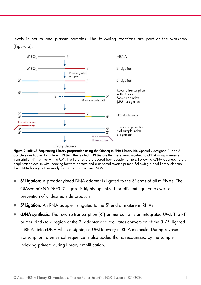levels in serum and plasma samples. The following reactions are part of the workflow [\(Figure](#page-10-0) 2):



<span id="page-10-0"></span>Figure 2. miRNA Sequencing Library preparation using the QIAseq miRNA Library Kit. Specially designed 3' and 5' adapters are ligated to mature miRNAs. The ligated miRNAs are then reverse-transcribed to cDNA using a reverse transcription (RT) primer with a UMI. No libraries are prepared from adapter–dimers. Following cDNA cleanup, library amplification occurs with indexing forward primers and a universal reverse primer. Following a final library cleanup, the miRNA library is then ready for QC and subsequent NGS.

- 3' Ligation: A preadenylated DNA adapter is ligated to the 3' ends of all miRNAs. The QIAseq miRNA NGS 3' Ligase is highly optimized for efficient ligation as well as prevention of undesired side products.
- 5' Ligation: An RNA adapter is ligated to the 5' end of mature miRNAs.
- cDNA synthesis: The reverse transcription (RT) primer contains an integrated UMI. The RT primer binds to a region of the 3' adapter and facilitates conversion of the 3'/5' ligated miRNAs into cDNA while assigning a UMI to every miRNA molecule. During reverse transcription, a universal sequence is also added that is recognized by the sample indexing primers during library amplification.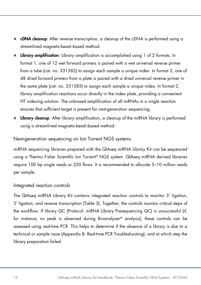- cDNA cleanup: After reverse transcription, a cleanup of the cDNA is performed using a streamlined magnetic-bead–based method.
- Library amplification: Library amplification is accomplished using 1 of 2 formats. In format 1, one of 12 wet forward primers is paired with a wet universal reverse primer from a tube (cat. no. 331582) to assign each sample a unique index. In format 2, one of 48 dried forward primers from a plate is paired with a dried universal reverse primer in the same plate (cat. no. 331585) to assign each sample a unique index. In format 2, library amplification reactions occur directly in the index plate, providing a convenient HT indexing solution. The unbiased amplification of all miRNAs in a single reaction ensures that sufficient target is present for next-generation sequencing.
- Library cleanup: After library amplification, a cleanup of the miRNA library is performed using a streamlined magnetic-bead–based method.

### Next-generation sequencing on Ion Torrent NGS systems

miRNA sequencing libraries prepared with the QIAseq miRNA Library Kit can be sequenced using a Thermo Fisher Scientific Ion Torrent® NGS system. QIAseq miRNA derived libraries require 100 bp single reads or 250 flows. It is recommended to allocate 5–10 million reads per sample.

### Integrated reaction controls

The QIAseq miRNA Library Kit contains integrated reaction controls to monitor 3' ligation, 5' ligation, and reverse transcription [\(Table 3\)](#page-12-0). Together, the controls monitor critical steps of the workflow. If library QC [\(Protocol: miRNA Library Presequencing QC\)](#page-38-0) is unsuccessful (if, for instance, no peak is observed during Bioanalyzer® analysis), these controls can be assessed using real-time PCR. This helps to determine if the absence of a library is due to a technical or sample issue [\(Appendix B: Real-time PCR Troubleshooting\)](#page-51-0), and at which step the library preparation failed.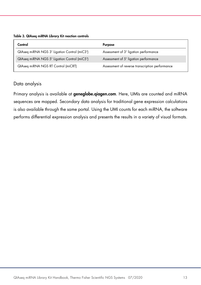#### <span id="page-12-0"></span>Table 3. QIAseq miRNA Library Kit reaction controls

| Control                                      | <b>Purpose</b>                                  |
|----------------------------------------------|-------------------------------------------------|
| QIAseq miRNA NGS 3' Ligation Control (miC3') | Assessment of 3' ligation performance           |
| QIAseg miRNA NGS 5' Ligation Control (miC5') | Assessment of 5' ligation performance           |
| QIAseq miRNA NGS RT Control (miCRT)          | Assessment of reverse transcription performance |

### Data analysis

Primary analysis is available at **geneglobe.giagen.com**. Here, UMIs are counted and miRNA sequences are mapped. Secondary data analysis for traditional gene expression calculations is also available through the same portal. Using the UMI counts for each miRNA, the software performs differential expression analysis and presents the results in a variety of visual formats.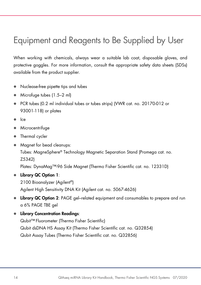# <span id="page-13-0"></span>Equipment and Reagents to Be Supplied by User

When working with chemicals, always wear a suitable lab coat, disposable gloves, and protective goggles. For more information, consult the appropriate safety data sheets (SDSs) available from the product supplier.

- Nuclease-free pipette tips and tubes
- Microfuge tubes (1.5–2 ml)
- PCR tubes (0.2 ml individual tubes or tubes strips) (VWR cat. no. 20170-012 or 93001-118) or plates
- Ice
- Microcentrifuge
- Thermal cycler
- Magnet for bead cleanups: Tubes: MagneSphere® Technology Magnetic Separation Stand (Promega cat. no. Z5342)

Plates: DynaMag<sup>™</sup>-96 Side Magnet (Thermo Fisher Scientific cat. no. 12331D)

● Library QC Option 1:

2100 Bioanalyzer (Agilent®) Agilent High Sensitivity DNA Kit (Agilent cat. no. 5067-4626)

- **Library QC Option 2:** PAGE gel–related equipment and consumables to prepare and run a 6% PAGE TBE gel
- Library Concentration Readings:

Qubit™ Fluorometer (Thermo Fisher Scientific) Qubit dsDNA HS Assay Kit (Thermo Fisher Scientific cat. no. Q32854) Qubit Assay Tubes (Thermo Fisher Scientific cat. no. Q32856)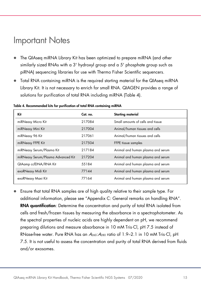# <span id="page-14-0"></span>Important Notes

- The QIAseq miRNA Library Kit has been optimized to prepare miRNA (and other similarly sized RNAs with a 3' hydroxyl group and a 5' phosphate group such as piRNA) sequencing libraries for use with Thermo Fisher Scientific sequencers.
- Total RNA containing miRNA is the required starting material for the QIAseq miRNA Library Kit. It is not necessary to enrich for small RNA. QIAGEN provides a range of solutions for purification of total RNA including miRNA [\(Table 4\)](#page-14-1).

| Kit                                | Cat. no. | <b>Starting material</b>          |
|------------------------------------|----------|-----------------------------------|
| miRNeasy Micro Kit                 | 217084   | Small amounts of cells and tissue |
| miRNeasy Mini Kit                  | 217004   | Animal/human tissues and cells    |
| miRNeasy 96 Kit                    | 217061   | Animal/human tissues and cells    |
| miRNeasy FFPE Kit                  | 217504   | FFPE tissue samples               |
| miRNeasy Serum/Plasma Kit          | 217184   | Animal and human plasma and serum |
| miRNeasy Serum/Plasma Advanced Kit | 217204   | Animal and human plasma and serum |
| QIAamp ccfDNA/RNA Kit              | 55184    | Animal and human plasma and serum |
| exoRNeasy Midi Kit                 | 77144    | Animal and human plasma and serum |
| exoRNeasy Maxi Kit                 | 77164    | Animal and human plasma and serum |

<span id="page-14-1"></span>Table 4. Recommended kits for purification of total RNA containing miRNA

 Ensure that total RNA samples are of high quality relative to their sample type. For additional information, please see "Appendix C: General remarks on handling RNA". RNA quantification: Determine the concentration and purity of total RNA isolated from cells and fresh/frozen tissues by measuring the absorbance in a spectrophotometer. As the spectral properties of nucleic acids are highly dependent on pH, we recommend preparing dilutions and measure absorbance in 10 mM Tris·Cl, pH 7.5 instead of RNase-free water. Pure RNA has an  $A_{260}$ :  $A_{280}$  ratio of 1.9-2.1 in 10 mM Tris·Cl, pH 7.5. It is not useful to assess the concentration and purity of total RNA derived from fluids and/or exosomes.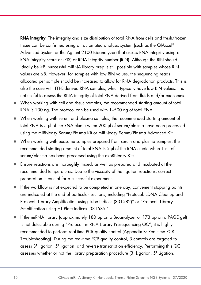RNA integrity: The integrity and size distribution of total RNA from cells and fresh/frozen tissue can be confirmed using an automated analysis system (such as the QIAxcel® Advanced System or the Agilent 2100 Bioanalyzer) that assess RNA integrity using a RNA integrity score or (RIS) or RNA integrity number (RIN). Although the RIN should ideally be ≥8, successful miRNA library prep is still possible with samples whose RIN values are ≤8. However, for samples with low RIN values, the sequencing reads allocated per sample should be increased to allow for RNA degradation products. This is also the case with FFPE-derived RNA samples, which typically have low RIN values. It is not useful to assess the RNA integrity of total RNA derived from fluids and/or exosomes.

- When working with cell and tissue samples, the recommended starting amount of total RNA is 100 ng. The protocol can be used with 1–500 ng of total RNA.
- When working with serum and plasma samples, the recommended starting amount of total RNA is 5 µl of the RNA eluate when 200 µl of serum/plasma have been processed using the miRNeasy Serum/Plasma Kit or miRNeasy Serum/Plasma Advanced Kit.
- When working with exosome samples prepared from serum and plasma samples, the recommended starting amount of total RNA is 5 µl of the RNA eluate when 1 ml of serum/plasma has been processed using the exoRNeasy Kits.
- Ensure reactions are thoroughly mixed, as well as prepared and incubated at the recommended temperatures. Due to the viscosity of the ligation reactions, correct preparation is crucial for a successful experiment.
- If the workflow is not expected to be completed in one day, convenient stopping points are indicated at the end of particular sections, including ["Protocol: cDNA Cleanup](#page-27-0) and [Protocol: Library Amplification using Tube Indices \(331582\)"](#page-29-0) or ["Protocol: Library](#page-33-0)  [Amplification using HT Plate Indices \(331585\)"](#page-33-0).
- If the miRNA library (approximately 180 bp on a Bioanalyzer or 173 bp on a PAGE gel) is not detectable during ["Protocol: miRNA Library Presequencing QC"](#page-38-0), it is highly recommended to perform real-time PCR quality control [\(Appendix B: Real-time PCR](#page-51-0)  [Troubleshooting\).](#page-51-0) During the real-time PCR quality control, 3 controls are targeted to assess 3' ligation, 5' ligation, and reverse transcription efficiency. Performing this QC assesses whether or not the library preparation procedure (3' Ligation, 5' Ligation,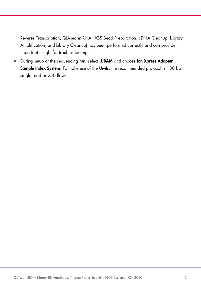Reverse Transcription, QIAseq miRNA NGS Bead Preparation, cDNA Cleanup, Library Amplification, and Library Cleanup) has been performed correctly and can provide important insight for troubleshooting.

During setup of the sequencing run, select .UBAM and choose Ion Xpress Adapter Sample Index System. To make use of the UMIs, the recommended protocol is 100 bp single read or 250 flows.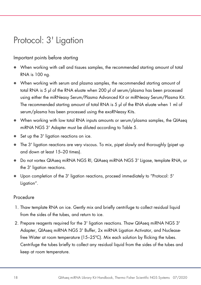# <span id="page-17-0"></span>Protocol: 3' Ligation

# Important points before starting

- When working with cell and tissues samples, the recommended starting amount of total RNA is 100 ng.
- When working with serum and plasma samples, the recommended starting amount of total RNA is 5 µl of the RNA eluate when 200 µl of serum/plasma has been processed using either the miRNeasy Serum/Plasma Advanced Kit or miRNeasy Serum/Plasma Kit. The recommended starting amount of total RNA is 5 µl of the RNA eluate when 1 ml of serum/plasma has been processed using the exoRNeasy Kits.
- When working with low total RNA inputs amounts or serum/plasma samples, the QIAseq miRNA NGS 3' Adapter must be diluted according to [Table 5.](#page-18-0)
- Set up the 3' ligation reactions on ice.
- The 3' ligation reactions are very viscous. To mix, pipet slowly and thoroughly (pipet up and down at least 15–20 times).
- Do not vortex QIAseq miRNA NGS RI, QIAseq miRNA NGS 3' Ligase, template RNA, or the 3' ligation reactions.
- Upon completion of the 3' ligation reactions, proceed immediately to ["Protocol: 5'](#page-20-0)  [Ligation"](#page-20-0).

### Procedure

- 1. Thaw template RNA on ice. Gently mix and briefly centrifuge to collect residual liquid from the sides of the tubes, and return to ice.
- 2. Prepare reagents required for the 3' ligation reactions. Thaw QIAseq miRNA NGS 3' Adapter, QIAseq miRNA NGS 3' Buffer, 2x miRNA Ligation Activator, and Nucleasefree Water at room temperature (15–25ºC). Mix each solution by flicking the tubes. Centrifuge the tubes briefly to collect any residual liquid from the sides of the tubes and keep at room temperature.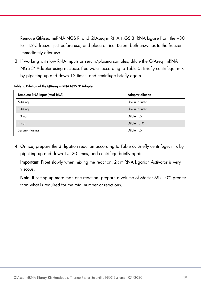Remove QIAseq miRNA NGS RI and QIAseq miRNA NGS 3' RNA Ligase from the −30 to −15ºC freezer just before use, and place on ice. Return both enzymes to the freezer immediately after use.

3. If working with low RNA inputs or serum/plasma samples, dilute the QIAseq miRNA NGS 3' Adapter using nuclease-free water according to [Table 5.](#page-18-0) Briefly centrifuge, mix by pipetting up and down 12 times, and centrifuge briefly again.

<span id="page-18-0"></span>

|  | Table 5. Dilution of the QIAseq miRNA NGS 3' Adapter |  |  |  |  |  |
|--|------------------------------------------------------|--|--|--|--|--|
|--|------------------------------------------------------|--|--|--|--|--|

| Template RNA input (total RNA) | <b>Adapter dilution</b> |
|--------------------------------|-------------------------|
| 500 ng                         | Use undiluted           |
| $100$ ng                       | Use undiluted           |
| 10 <sub>ng</sub>               | Dilute 1:5              |
| 1 <sub>ng</sub>                | Dilute $1:10$           |
| Serum/Plasma                   | Dilute 1:5              |

4. On ice, prepare the 3' ligation reaction according to [Table 6.](#page-19-0) Briefly centrifuge, mix by pipetting up and down 15–20 times, and centrifuge briefly again.

Important: Pipet slowly when mixing the reaction. 2x miRNA Ligation Activator is very viscous.

Note: If setting up more than one reaction, prepare a volume of Master Mix 10% greater than what is required for the total number of reactions.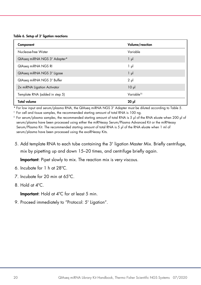<span id="page-19-0"></span>Table 6. Setup of 3' ligation reactions

| Component                      | Volume/reaction        |
|--------------------------------|------------------------|
| Nuclease-free Water            | Variable               |
| QIAseq miRNA NGS 3' Adapter*   | $1 \mu$                |
| QIAseq miRNA NGS RI            | 1 µl                   |
| QIAseq miRNA NGS 3' Ligase     | $1 \mu$                |
| QIAseq miRNA NGS 3' Buffer     | $2 \mu$                |
| 2x miRNA Ligation Activator    | $10 \mu$               |
| Template RNA (added in step 5) | Variable <sup>t‡</sup> |
| <b>Total volume</b>            | ار 20                  |

\* For low input and serum/plasma RNA, the QIAseq miRNA NGS 3' Adapter must be diluted according to [Table 5.](#page-18-0)

† For cell and tissue samples, the recommended starting amount of total RNA is 100 ng.

‡ For serum/plasma samples, the recommended starting amount of total RNA is 5 µl of the RNA eluate when 200 µl of serum/plasma have been processed using either the miRNeasy Serum/Plasma Advanced Kit or the miRNeasy Serum/Plasma Kit. The recommended starting amount of total RNA is 5 µl of the RNA eluate when 1 ml of serum/plasma have been processed using the exoRNeasy Kits.

<span id="page-19-1"></span>5. Add template RNA to each tube containing the 3' ligation Master Mix. Briefly centrifuge, mix by pipetting up and down 15–20 times, and centrifuge briefly again.

Important: Pipet slowly to mix. The reaction mix is very viscous.

- 6. Incubate for 1 h at 28ºC.
- 7. Incubate for 20 min at 65ºC.
- 8. Hold at 4ºC.

Important: Hold at 4ºC for at least 5 min.

9. Proceed immediately to ["Protocol: 5' Ligation"](#page-20-0).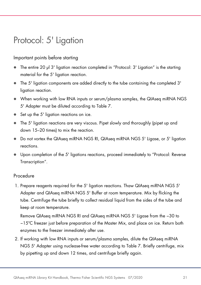# <span id="page-20-0"></span>Protocol: 5' Ligation

### Important points before starting

- The entire 20 µl 3' ligation reaction completed in ["Protocol: 3' Ligation"](#page-17-0) is the starting material for the 5' ligation reaction.
- The 5' ligation components are added directly to the tube containing the completed 3' ligation reaction.
- When working with low RNA inputs or serum/plasma samples, the QIAseq miRNA NGS 5' Adapter must be diluted according to [Table 7.](#page-21-0)
- Set up the 5' ligation reactions on ice.
- The 5' ligation reactions are very viscous. Pipet slowly and thoroughly (pipet up and down 15–20 times) to mix the reaction.
- Do not vortex the QIAseq miRNA NGS RI, QIAseq miRNA NGS 5' Ligase, or 5' ligation reactions.
- Upon completion of the 5' ligations reactions, proceed immediately to ["Protocol: Reverse](#page-22-0)  [Transcription"](#page-22-0).

### **Procedure**

1. Prepare reagents required for the 5' ligation reactions. Thaw QIAseq miRNA NGS 5' Adapter and QIAseq miRNA NGS 5' Buffer at room temperature. Mix by flicking the tube. Centrifuge the tube briefly to collect residual liquid from the sides of the tube and keep at room temperature.

Remove QIAseq miRNA NGS RI and QIAseq miRNA NGS 5' Ligase from the −30 to −15ºC freezer just before preparation of the Master Mix, and place on ice. Return both enzymes to the freezer immediately after use.

2. If working with low RNA inputs or serum/plasma samples, dilute the QIAseq miRNA NGS 5' Adapter using nuclease-free water according to [Table 7.](#page-21-0) Briefly centrifuge, mix by pipetting up and down 12 times, and centrifuge briefly again.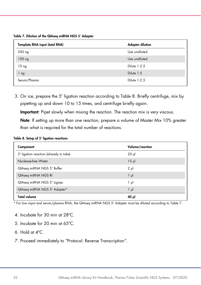<span id="page-21-0"></span>Table 7. Dilution of the QIAseq miRNA NGS 5' Adapter

| Template RNA input (total RNA) | <b>Adapter dilution</b> |
|--------------------------------|-------------------------|
| 500 ng                         | Use undiluted           |
| 100 ng                         | Use undiluted           |
| 10 <sub>ng</sub>               | Dilute $1:2.5$          |
| 1 ng                           | Dilute 1:5              |
| Serum/Plasma                   | Dilute $1:2.5$          |

3. On ice, prepare the 5' ligation reaction according to [Table 8.](#page-21-1) Briefly centrifuge, mix by pipetting up and down 10 to 15 times, and centrifuge briefly again.

Important: Pipet slowly when mixing the reaction. The reaction mix is very viscous.

Note: If setting up more than one reaction, prepare a volume of Master Mix 10% greater than what is required for the total number of reactions.

<span id="page-21-1"></span>Table 8. Setup of 5' ligation reactions

| Component                              | Volume/reaction |
|----------------------------------------|-----------------|
| 3' ligation reaction (already in tube) | $20 \mu$        |
| Nuclease-free Water                    | $15 \mu$        |
| QIAseq miRNA NGS 5' Buffer             | $2 \mu$         |
| QIAseq miRNA NGS RI                    | $1 \mu$         |
| QIAseq miRNA NGS 5' Ligase             | $1 \mu$         |
| QIAseq miRNA NGS 5' Adapter*           | $1 \mu$         |
| <b>Total volume</b>                    | ار 40           |

\* For low input and serum/plasma RNA, the QIAseq miRNA NGS 5' Adapter must be diluted according to [Table 7.](#page-21-0)

- 4. Incubate for 30 min at 28ºC.
- 5. Incubate for 20 min at 65ºC.
- 6. Hold at 4ºC.
- 7. Proceed immediately to ["Protocol: Reverse Transcription"](#page-22-0).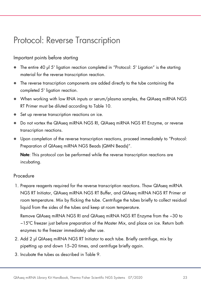# <span id="page-22-0"></span>Protocol: Reverse Transcription

### Important points before starting

- The entire 40 µl 5' ligation reaction completed in ["Protocol: 5' Ligation"](#page-20-0) is the starting material for the reverse transcription reaction.
- The reverse transcription components are added directly to the tube containing the completed 5' ligation reaction.
- When working with low RNA inputs or serum/plasma samples, the QIAseq miRNA NGS RT Primer must be diluted according to [Table 10.](#page-23-0)
- Set up reverse transcription reactions on ice.
- Do not vortex the QIAseq miRNA NGS RI, QIAseq miRNA NGS RT Enzyme, or reverse transcription reactions.
- Upon completion of the reverse transcription reactions, proceed immediately to ["Protocol:](#page-25-0)  [Preparation of QIAseq miRNA NGS Beads \(QMN Beads\)"](#page-25-0).

Note: This protocol can be performed while the reverse transcription reactions are incubating.

### Procedure

1. Prepare reagents required for the reverse transcription reactions. Thaw QIAseq miRNA NGS RT Initiator, QIAseq miRNA NGS RT Buffer, and QIAseq miRNA NGS RT Primer at room temperature. Mix by flicking the tube. Centrifuge the tubes briefly to collect residual liquid from the sides of the tubes and keep at room temperature.

Remove QIAseq miRNA NGS RI and QIAseq miRNA NGS RT Enzyme from the −30 to −15ºC freezer just before preparation of the Master Mix, and place on ice. Return both enzymes to the freezer immediately after use.

- 2. Add 2 µl QIAseq miRNA NGS RT Initiator to each tube. Briefly centrifuge, mix by pipetting up and down 15–20 times, and centrifuge briefly again.
- 3. Incubate the tubes as described in [Table 9.](#page-23-1)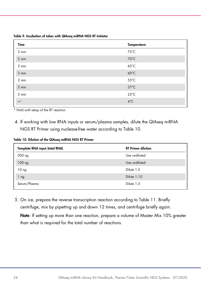<span id="page-23-1"></span>Table 9. Incubation of tubes with QIAseq miRNA NGS RT Initiator

| Time            | <b>Temperature</b> |
|-----------------|--------------------|
| $2 \text{ min}$ | $75^{\circ}$ C     |
| 2 min           | 70°C               |
| 2 min           | $65^{\circ}$ C     |
| $2$ min         | $60^{\circ}$ C     |
| 2 min           | $55^{\circ}$ C     |
| 5 min           | $37^{\circ}$ C     |
| 5 min           | $25^{\circ}$ C     |
| $\infty^*$      | $4^{\circ}$ C      |

\* Hold until setup of the RT reaction.

4. If working with low RNA inputs or serum/plasma samples, dilute the QIAseq miRNA NGS RT Primer using nuclease-free water according t[o Table 10.](#page-23-0)

<span id="page-23-0"></span>Table 10. Dilution of the QIAseq miRNA NGS RT Primer

| Template RNA input (total RNA) | <b>RT Primer dilution</b> |
|--------------------------------|---------------------------|
| 500 ng                         | Use undiluted             |
| 100 ng                         | Use undiluted             |
| 10 <sub>ng</sub>               | Dilute 1:5                |
| 1 <sub>ng</sub>                | Dilute 1:10               |
| Serum/Plasma                   | Dilute 1:5                |

5. On ice, prepare the reverse transcription reaction according to [Table 11.](#page-24-0) Briefly centrifuge, mix by pipetting up and down 12 times, and centrifuge briefly again.

Note: If setting up more than one reaction, prepare a volume of Master Mix 10% greater than what is required for the total number of reactions.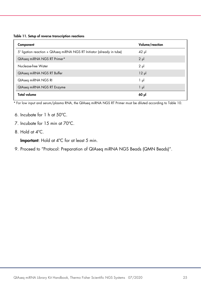<span id="page-24-0"></span>

|  |  |  |  |  | Table 11. Setup of reverse transcription reactions |  |
|--|--|--|--|--|----------------------------------------------------|--|
|--|--|--|--|--|----------------------------------------------------|--|

| Component                                                              | Volume/reaction |
|------------------------------------------------------------------------|-----------------|
| 5' ligation reaction + QIAseq miRNA NGS RT Initiator (already in tube) | $42 \mu$        |
| QIAseq miRNA NGS RT Primer*                                            | $2 \mu$         |
| Nuclease-free Water                                                    | $2 \mu$         |
| QIAseq miRNA NGS RT Buffer                                             | $12 \mu$        |
| QIAseq miRNA NGS RI                                                    | $1 \mu$         |
| QIAseq miRNA NGS RT Enzyme                                             | $1 \mu$         |
| <b>Total volume</b>                                                    | $60$ pl         |

\* For low input and serum/plasma RNA, the QIAseq miRNA NGS RT Primer must be diluted according to [Table 10.](#page-23-0)

- 6. Incubate for 1 h at 50ºC.
- 7. Incubate for 15 min at 70ºC.
- 8. Hold at 4ºC.

Important: Hold at 4ºC for at least 5 min.

9. Proceed to ["Protocol: Preparation of QIAseq miRNA NGS Beads \(QMN Beads\)"](#page-25-0).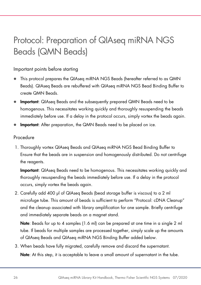# <span id="page-25-0"></span>Protocol: Preparation of QIAseq miRNA NGS Beads (QMN Beads)

Important points before starting

- This protocol prepares the QIAseq miRNA NGS Beads (hereafter referred to as QMN Beads). QIAseq Beads are rebuffered with QIAseq miRNA NGS Bead Binding Buffer to create QMN Beads.
- **Important:** QIAseq Beads and the subsequently prepared QMN Beads need to be homogenous. This necessitates working quickly and thoroughly resuspending the beads immediately before use. If a delay in the protocol occurs, simply vortex the beads again.
- **Important:** After preparation, the QMN Beads need to be placed on ice.

### Procedure

1. Thoroughly vortex QIAseq Beads and QIAseq miRNA NGS Bead Binding Buffer to Ensure that the beads are in suspension and homogenously distributed. Do not centrifuge the reagents.

Important: QIAseq Beads need to be homogenous. This necessitates working quickly and thoroughly resuspending the beads immediately before use. If a delay in the protocol occurs, simply vortex the beads again.

2. Carefully add 400 µl of QIAseq Beads (bead storage buffer is viscous) to a 2 ml microfuge tube. This amount of beads is sufficient to perform ["Protocol: cDNA Cleanup"](#page-27-0) and the cleanup associated with library amplification for one sample. Briefly centrifuge and immediately separate beads on a magnet stand.

Note: Beads for up to 4 samples (1.6 ml) can be prepared at one time in a single 2 ml tube. If beads for multiple samples are processed together, simply scale up the amounts of QIAseq Beads and QIAseq miRNA NGS Binding Buffer added below.

3. When beads have fully migrated, carefully remove and discard the supernatant.

Note: At this step, it is acceptable to leave a small amount of supernatant in the tube.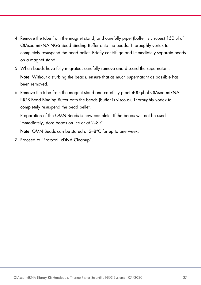- 4. Remove the tube from the magnet stand, and carefully pipet (buffer is viscous) 150 µl of QIAseq miRNA NGS Bead Binding Buffer onto the beads. Thoroughly vortex to completely resuspend the bead pellet. Briefly centrifuge and immediately separate beads on a magnet stand.
- 5. When beads have fully migrated, carefully remove and discard the supernatant. Note: Without disturbing the beads, ensure that as much supernatant as possible has been removed.
- 6. Remove the tube from the magnet stand and carefully pipet 400 µl of QIAseq miRNA NGS Bead Binding Buffer onto the beads (buffer is viscous). Thoroughly vortex to completely resuspend the bead pellet.

Preparation of the QMN Beads is now complete. If the beads will not be used immediately, store beads on ice or at 2–8°C.

Note: QMN Beads can be stored at 2–8°C for up to one week.

7. Proceed to ["Protocol: cDNA Cleanup"](#page-27-0).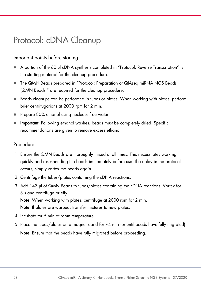# <span id="page-27-0"></span>Protocol: cDNA Cleanup

# Important points before starting

- A portion of the 60 µl cDNA synthesis completed in ["Protocol: Reverse Transcription"](#page-22-0) is the starting material for the cleanup procedure.
- The QMN Beads prepared in ["Protocol: Preparation of QIAseq miRNA NGS Beads](#page-25-0)  [\(QMN Beads\)"](#page-25-0) are required for the cleanup procedure.
- Beads cleanups can be performed in tubes or plates. When working with plates, perform brief centrifugations at 2000 rpm for 2 min.
- Prepare 80% ethanol using nuclease-free water.
- **Important:** Following ethanol washes, beads must be completely dried. Specific recommendations are given to remove excess ethanol.

### Procedure

- 1. Ensure the QMN Beads are thoroughly mixed at all times. This necessitates working quickly and resuspending the beads immediately before use. If a delay in the protocol occurs, simply vortex the beads again.
- 2. Centrifuge the tubes/plates containing the cDNA reactions.
- 3. Add 143 µl of QMN Beads to tubes/plates containing the cDNA reactions. Vortex for 3 s and centrifuge briefly. Note: When working with plates, centrifuge at 2000 rpm for 2 min.

Note: If plates are warped, transfer mixtures to new plates.

- 4. Incubate for 5 min at room temperature.
- 5. Place the tubes/plates on a magnet stand for ~4 min (or until beads have fully migrated). Note: Ensure that the beads have fully migrated before proceeding.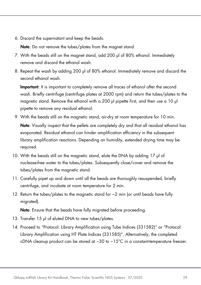6. Discard the supernatant and keep the beads.

Note: Do not remove the tubes/plates from the magnet stand.

- 7. With the beads still on the magnet stand, add 200 µl of 80% ethanol. Immediately remove and discard the ethanol wash.
- 8. Repeat the wash by adding 200 µl of 80% ethanol. Immediately remove and discard the second ethanol wash.

Important: It is important to completely remove all traces of ethanol after the second wash. Briefly centrifuge (centrifuge plates at 2000 rpm) and return the tubes/plates to the magnetic stand. Remove the ethanol with a 200 ul pipette first, and then use a 10 ul pipette to remove any residual ethanol.

- 9. With the beads still on the magnetic stand, air-dry at room temperature for 10 min. Note: Visually inspect that the pellets are completely dry and that all residual ethanol has evaporated. Residual ethanol can hinder amplification efficiency in the subsequent library amplification reactions. Depending on humidity, extended drying time may be required.
- 10. With the beads still on the magnetic stand, elute the DNA by adding 17 µl of nuclease-free water to the tubes/plates. Subsequently close/cover and remove the tubes/plates from the magnetic stand.
- 11. Carefully pipet up and down until all the beads are thoroughly resuspended, briefly centrifuge, and incubate at room temperature for 2 min.
- 12. Return the tubes/plates to the magnetic stand for ~2 min (or until beads have fully migrated).

Note: Ensure that the beads have fully migrated before proceeding.

- 13. Transfer 15 µl of eluted DNA to new tubes/plates.
- 14. Proceed to ["Protocol: Library Amplification using Tube Indices \(331582\)"](#page-29-0) or ["Protocol:](#page-33-0)  [Library Amplification using HT](#page-33-0) Plate Indices (331585)". Alternatively, the completed cDNA cleanup product can be stored at −30 to −15°C in a constant-temperature freezer.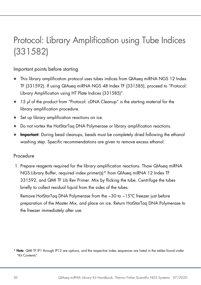# <span id="page-29-2"></span><span id="page-29-0"></span>Protocol: Library Amplification using Tube Indices (331582)

### Important points before starting

- This library amplification protocol uses tubes indices from QIAseq miRNA NGS 12 Index TF (331592). If using QIAseq miRNA NGS 48 Index TF (331585), proceed to ["Protocol:](#page-33-0)  [Library Amplification using HT Plate Indices \(331585\)"](#page-33-0).
- 15 µl of the product from ["Protocol: cDNA Cleanup"](#page-27-0) is the starting material for the library amplification procedure.
- Set up library amplification reactions on ice.
- Do not vortex the HotStarTaq DNA Polymerase or library amplification reactions.
- **Important:** During bead cleanups, beads must be completely dried following the ethanol washing step. Specific recommendations are given to remove excess ethanol.

### Procedure

1. Prepare reagents required for the library amplification reactions. Thaw QIAseq miRNA NGS Library Buffer, required index primer(s)[\\*](#page-29-1) from QIAseq miRNA 12 Index TF 331592, and QMI TF Lib Rev Primer. Mix by flicking the tube. Centrifuge the tubes briefly to collect residual liquid from the sides of the tubes.

Remove HotStarTaq DNA Polymerase from the −30 to −15ºC freezer just before preparation of the Master Mix, and place on ice. Return HotStarTaq DNA Polymerase to the freezer immediately after use.

<span id="page-29-1"></span><sup>\*</sup> Note: QMI TF IP1 through IP12 are options, and the respective index sequences are listed in the tables found under "Kit Contents".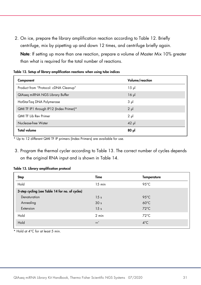<span id="page-30-1"></span>2. On ice, prepare the library amplification reaction according to [Table 12.](#page-29-2) Briefly centrifuge, mix by pipetting up and down 12 times, and centrifuge briefly again.

Note: If setting up more than one reaction, prepare a volume of Master Mix 10% greater than what is required for the total number of reactions.

| Component                               | Volume/reaction |
|-----------------------------------------|-----------------|
| Product from "Protocol: cDNA Cleanup"   | $15 \mu$        |
| QIAseq miRNA NGS Library Buffer         | $16$ $\mu$      |
| HotStarTag DNA Polymerase               | 3 <sub>µ</sub>  |
| QMI TF IP1 through IP12 (Index Primer)* | $2 \mu$         |
| <b>QMI TF Lib Rev Primer</b>            | $2 \mu$         |
| Nuclease-free Water                     | $42$ µ          |
| <b>Total volume</b>                     | $80 \mu$        |

|  |  | Table 12. Setup of library amplification reactions when using tube indices |
|--|--|----------------------------------------------------------------------------|
|--|--|----------------------------------------------------------------------------|

\* Up to 12 different QMI TF IP primers (Index Primers) are available for use.

3. Program the thermal cycler according to [Table 13.](#page-30-0) The correct number of cycles depends on the original RNA input and is shown in [Table 14.](#page-30-1)

| <b>Step</b>                                     | Time            | <b>Temperature</b> |
|-------------------------------------------------|-----------------|--------------------|
| Hold                                            | $15$ min        | $95^{\circ}$ C     |
| 3-step cycling (see Table 14 for no. of cycles) |                 |                    |
| Denaturation                                    | 15 <sub>s</sub> | $95^{\circ}$ C     |
| Annealing                                       | 30 <sub>s</sub> | $60^{\circ}$ C     |
| Extension                                       | 15 <sub>s</sub> | $72^{\circ}$ C     |
| Hold                                            | $2 \text{ min}$ | $72^{\circ}$ C     |
| Hold                                            | $\infty^*$      | $4^{\circ}$ C      |

#### <span id="page-30-0"></span>Table 13. Library amplification protocol

\* Hold at 4°C for at least 5 min.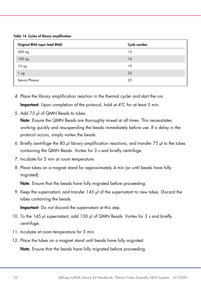Table 14. Cycles of library amplification

| Original RNA input (total RNA) | Cycle number |
|--------------------------------|--------------|
| 500 ng                         | 13           |
| 100 <sub>ng</sub>              | 16           |
| 10 <sub>ng</sub>               | 19           |
| 1 ng                           | 22           |
| Serum/Plasma                   | 22           |

- 4. Place the library amplification reaction in the thermal cycler and start the run. Important: Upon completion of the protocol, hold at 4°C for at least 5 min.
- 5. Add 75 µl of QMN Beads to tubes.

Note: Ensure the QMN Beads are thoroughly mixed at all times. This necessitates working quickly and resuspending the beads immediately before use. If a delay in the protocol occurs, simply vortex the beads.

- 6. Briefly centrifuge the 80 µl library amplification reactions, and transfer 75 µl to the tubes containing the QMN Beads. Vortex for 3 s and briefly centrifuge.
- 7. Incubate for 5 min at room temperature.
- 8. Place tubes on a magnet stand for approximately 4 min (or until beads have fully migrated).

Note: Ensure that the beads have fully migrated before proceeding.

9. Keep the supernatant, and transfer 145 µl of the supernatant to new tubes. Discard the tubes containing the beads.

Important: Do not discard the supernatant at this step.

- 10. To the 145 µl supernatant, add 130 µl of QMN Beads. Vortex for 3 s and briefly centrifuge.
- 11. Incubate at room temperature for 5 min.
- 12. Place the tubes on a magnet stand until beads have fully migrated.

Note: Ensure that the beads have fully migrated before proceeding.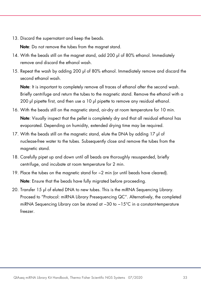13. Discard the supernatant and keep the beads.

Note: Do not remove the tubes from the magnet stand.

- 14. With the beads still on the magnet stand, add 200 µl of 80% ethanol. Immediately remove and discard the ethanol wash.
- 15. Repeat the wash by adding 200 µl of 80% ethanol. Immediately remove and discard the second ethanol wash.

Note: It is important to completely remove all traces of ethanol after the second wash. Briefly centrifuge and return the tubes to the magnetic stand. Remove the ethanol with a 200 ul pipette first, and then use a 10 ul pipette to remove any residual ethanol.

- 16. With the beads still on the magnetic stand, air-dry at room temperature for 10 min. Note: Visually inspect that the pellet is completely dry and that all residual ethanol has evaporated. Depending on humidity, extended drying time may be required.
- 17. With the beads still on the magnetic stand, elute the DNA by adding 17 µl of nuclease-free water to the tubes. Subsequently close and remove the tubes from the magnetic stand.
- 18. Carefully pipet up and down until all beads are thoroughly resuspended, briefly centrifuge, and incubate at room temperature for 2 min.
- 19. Place the tubes on the magnetic stand for  $\sim$ 2 min (or until beads have cleared). Note: Ensure that the beads have fully migrated before proceeding.
- 20. Transfer 15 µl of eluted DNA to new tubes. This is the miRNA Sequencing Library. Proceed to ["Protocol: miRNA Library Presequencing QC"](#page-38-0). Alternatively, the completed miRNA Sequencing Library can be stored at −30 to −15°C in a constant-temperature freezer.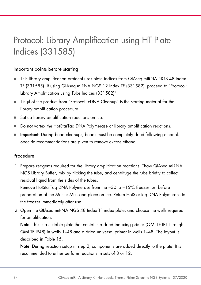# <span id="page-33-1"></span><span id="page-33-0"></span>Protocol: Library Amplification using HT Plate Indices (331585)

### Important points before starting

- This library amplification protocol uses plate indices from QIAseq miRNA NGS 48 Index TF (331585). If using QIAseq miRNA NGS 12 Index TF (331582), proceed to ["Protocol:](#page-29-0)  [Library Amplification using Tube Indices \(331582\)"](#page-29-0).
- 15 µl of the product from ["Protocol: cDNA Cleanup"](#page-27-0) is the starting material for the library amplification procedure.
- Set up library amplification reactions on ice.
- Do not vortex the HotStarTaq DNA Polymerase or library amplification reactions.
- **Important:** During bead cleanups, beads must be completely dried following ethanol. Specific recommendations are given to remove excess ethanol.

### Procedure

1. Prepare reagents required for the library amplification reactions. Thaw QIAseq miRNA NGS Library Buffer, mix by flicking the tube, and centrifuge the tube briefly to collect residual liquid from the sides of the tubes.

Remove HotStarTaq DNA Polymerase from the −30 to −15ºC freezer just before preparation of the Master Mix, and place on ice. Return HotStarTaq DNA Polymerase to the freezer immediately after use.

2. Open the QIAseq miRNA NGS 48 Index TF index plate, and choose the wells required for amplification.

Note: This is a cuttable plate that contains a dried indexina primer (QMI TF IP1 through QMI TF IP48) in wells 1–48 and a dried universal primer in wells 1–48. The layout is described in [Table 15.](#page-33-1)

Note: During reaction setup in step 2, components are added directly to the plate. It is recommended to either perform reactions in sets of 8 or 12.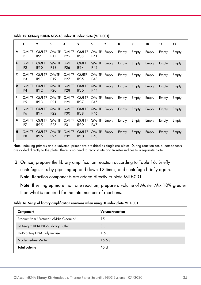|   | 1                                | $\mathbf{2}$                      | 3                          | 4                                 | 5                            | 6                     | 7     | 8     | 9     | 10    | 11    | 12    |
|---|----------------------------------|-----------------------------------|----------------------------|-----------------------------------|------------------------------|-----------------------|-------|-------|-------|-------|-------|-------|
| A | QMI TF<br>IP <sub>1</sub>        | <b>QMI TF</b><br>IP <sub>9</sub>  | QMI TF<br>IP17             | QMI TF<br>IP25                    | QMI TF<br>IP33               | QMI TF<br>IP41        | Empty | Empty | Empty | Empty | Empty | Empty |
| B | <b>QMI TF</b><br>IP2             | <b>QMI TF</b><br>IP <sub>10</sub> | QMI TF<br>IP18             | <b>QMI TF</b><br>IP <sub>26</sub> | <b>QMI TF</b><br>IP34        | QMI TF<br>IP42        | Empty | Empty | Empty | Empty | Empty | Empty |
| c | <b>QMI TF</b><br>IP3             | <b>QMI TF</b><br>IP11             | <b>QMITF</b><br>IP19       | QMI TF<br>IP <sub>27</sub>        | <b>QMITF</b><br>IP35         | QMI TF<br>IP43        | Empty | Empty | Empty | Empty | Empty | Empty |
| D | <b>QMI TF</b><br>IP4             | <b>QMI TF</b><br>IP12             | QMI TF<br>IP <sub>20</sub> | <b>QMI TF</b><br>IP28             | <b>QMI TF</b><br>IP36        | <b>QMI TF</b><br>IP44 | Empty | Empty | Empty | Empty | Empty | Empty |
| Е | <b>QMI TF</b><br>IP <sub>5</sub> | <b>QMI TF</b><br>IP13             | QMI TF<br>IP21             | QMI TF<br>IP <sub>29</sub>        | QMI TF<br>IP <sub>37</sub>   | QMI TF<br>IP45        | Empty | Empty | Empty | Empty | Empty | Empty |
| F | <b>QMI TF</b><br>IP <sub>6</sub> | <b>QMI TF</b><br>IP14             | <b>QMI TF</b><br>IP22      | QMI TF<br>IP <sub>30</sub>        | <b>QMI TF</b><br><b>IP38</b> | QMI TF<br><b>IP46</b> | Empty | Empty | Empty | Empty | Empty | Empty |
| G | QMI TF<br>IP7                    | <b>QMI TF</b><br>IP15             | QMI TF<br>IP <sub>23</sub> | QMI TF<br>IP31                    | QMI TF<br>IP39               | QMI TF<br>IP47        | Empty | Empty | Empty | Empty | Empty | Empty |
| H | QMI TF<br>IP <sub>8</sub>        | <b>QMI TF</b><br><b>IP16</b>      | <b>QMI TF</b><br>IP24      | <b>QMI TF</b><br>IP32             | <b>QMI TF</b><br>IP40        | <b>QMI TF</b><br>IP48 | Empty | Empty | Empty | Empty | Empty | Empty |
|   |                                  |                                   |                            |                                   |                              |                       |       |       |       |       |       |       |

Table 15. QIAseq miRNA NGS 48 Index TF index plate (MITF-001)

Note: Indexing primers and a universal primer are pre-dried as single-use plates. During reaction setup, components are added directly to the plate. There is no need to reconstitute and transfer indices to a separate plate.

3. On ice, prepare the library amplification reaction according to [Table 16.](#page-34-0) Briefly centrifuge, mix by pipetting up and down 12 times, and centrifuge briefly again. Note: Reaction components are added directly to plate MITF-001.

Note: If setting up more than one reaction, prepare a volume of Master Mix 10% greater than what is required for the total number of reactions.

<span id="page-34-0"></span>

| Table 16. Setup of library amplification reactions when using HT index plate MITF-001 |  |  |  |  |
|---------------------------------------------------------------------------------------|--|--|--|--|
|---------------------------------------------------------------------------------------|--|--|--|--|

| Component                             | Volume/reaction |
|---------------------------------------|-----------------|
| Product from "Protocol: cDNA Cleanup" | $15 \mu$        |
| QIAseq miRNA NGS Library Buffer       | $8 \mu$         |
| HotStarTag DNA Polymerase             | $1.5$ pl        |
| Nuclease-free Water                   | $15.5$ pl       |
| <b>Total volume</b>                   | 10 JJ           |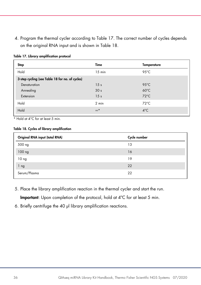4. Program the thermal cycler according to [Table 17.](#page-35-0) The correct number of cycles depends on the original RNA input and is shown in [Table 18.](#page-35-1)

| Step                                            | Time            | <b>Temperature</b> |
|-------------------------------------------------|-----------------|--------------------|
| Hold                                            | $15$ min        | 95 $°C$            |
| 3-step cycling (see Table 18 for no. of cycles) |                 |                    |
| Denaturation                                    | 15 <sub>s</sub> | $95^{\circ}$ C     |
| Annealing                                       | 30 <sub>s</sub> | $60^{\circ}$ C     |
| Extension                                       | 15 <sub>s</sub> | $72^{\circ}$ C     |
| Hold                                            | $2 \text{ min}$ | $72^{\circ}$ C     |
| Hold                                            | $\infty^*$      | $4^{\circ}$ C      |

<span id="page-35-0"></span>Table 17. Library amplification protocol

\* Hold at 4°C for at least 5 min.

#### <span id="page-35-1"></span>Table 18. Cycles of library amplification

| Original RNA input (total RNA) | Cycle number |
|--------------------------------|--------------|
| 500 ng                         | 13           |
| $100$ ng                       | 16           |
| 10 <sub>ng</sub>               | 19           |
| 1 ng                           | 22           |
| Serum/Plasma                   | 22           |

5. Place the library amplification reaction in the thermal cycler and start the run.

Important: Upon completion of the protocol, hold at 4°C for at least 5 min.

6. Briefly centrifuge the 40 µl library amplification reactions.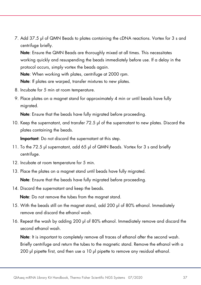7. Add 37.5 µl of QMN Beads to plates containing the cDNA reactions. Vortex for 3 s and centrifuge briefly.

Note: Ensure the QMN Beads are thoroughly mixed at all times. This necessitates working quickly and resuspending the beads immediately before use. If a delay in the protocol occurs, simply vortex the beads again.

Note: When working with plates, centrifuge at 2000 rpm.

Note: If plates are warped, transfer mixtures to new plates.

- 8. Incubate for 5 min at room temperature.
- 9. Place plates on a magnet stand for approximately 4 min or until beads have fully migrated.

Note: Ensure that the beads have fully migrated before proceeding.

10. Keep the supernatant, and transfer 72.5 µl of the supernatant to new plates. Discard the plates containing the beads.

Important: Do not discard the supernatant at this step.

- 11. To the 72.5 µl supernatant, add 65 µl of QMN Beads. Vortex for 3 s and briefly centrifuge.
- 12. Incubate at room temperature for 5 min.
- 13. Place the plates on a magnet stand until beads have fully migrated.

Note: Ensure that the beads have fully migrated before proceeding.

14. Discard the supernatant and keep the beads.

Note: Do not remove the tubes from the magnet stand.

- 15. With the beads still on the magnet stand, add 200 µl of 80% ethanol. Immediately remove and discard the ethanol wash.
- 16. Repeat the wash by adding 200 µl of 80% ethanol. Immediately remove and discard the second ethanol wash.

Note: It is important to completely remove all traces of ethanol after the second wash. Briefly centrifuge and return the tubes to the magnetic stand. Remove the ethanol with a 200 ul pipette first, and then use a 10 ul pipette to remove any residual ethanol.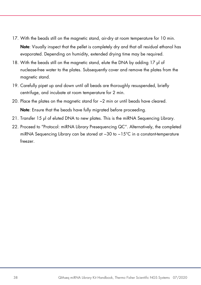- 17. With the beads still on the magnetic stand, air-dry at room temperature for 10 min. Note: Visually inspect that the pellet is completely dry and that all residual ethanol has evaporated. Depending on humidity, extended drying time may be required.
- 18. With the beads still on the magnetic stand, elute the DNA by adding 17 µl of nuclease-free water to the plates. Subsequently cover and remove the plates from the magnetic stand.
- 19. Carefully pipet up and down until all beads are thoroughly resuspended, briefly centrifuge, and incubate at room temperature for 2 min.
- 20. Place the plates on the magnetic stand for ~2 min or until beads have cleared. Note: Ensure that the beads have fully migrated before proceeding.
- 21. Transfer 15 µl of eluted DNA to new plates. This is the miRNA Sequencing Library.
- 22. Proceed to ["Protocol: miRNA Library Presequencing QC"](#page-38-0). Alternatively, the completed miRNA Sequencing Library can be stored at −30 to −15°C in a constant-temperature freezer.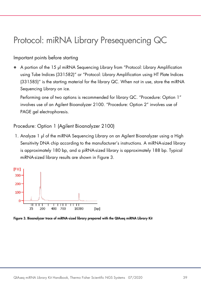# <span id="page-38-0"></span>Protocol: miRNA Library Presequencing QC

### Important points before starting

 A portion of the 15 µl miRNA Sequencing Library from ["Protocol: Library Amplification](#page-29-0)  [using Tube Indices \(331582\)"](#page-29-0) or ["Protocol: Library Amplification using HT Plate Indices](#page-33-0)  [\(331585\)"](#page-33-0) is the starting material for the library QC. When not in use, store the miRNA Sequencing Library on ice.

Performing one of two options is recommended for library QC. "Procedure: Option 1" involves use of an Agilent Bioanalyzer 2100. "Procedure: Option 2" involves use of PAGE gel electrophoresis.

# Procedure: Option 1 (Agilent Bioanalyzer 2100)

1. Analyze 1 µl of the miRNA Sequencing Library on an Agilent Bioanalyzer using a High Sensitivity DNA chip according to the manufacturer's instructions. A miRNA-sized library is approximately 180 bp, and a piRNA-sized library is approximately 188 bp. Typical miRNA-sized library results are shown in [Figure 3.](#page-38-1)



<span id="page-38-1"></span>Figure 3. Bioanalyzer trace of miRNA-sized library prepared with the QIAseq miRNA Library Kit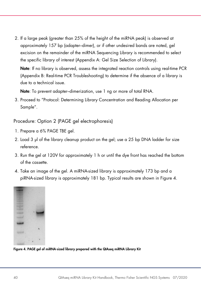2. If a large peak (greater than 25% of the height of the miRNA peak) is observed at approximately 157 bp (adapter–dimer), or if other undesired bands are noted, gel excision on the remainder of the miRNA Sequencing Library is recommended to select the specific library of interest [\(Appendix A: Gel Size Selection of Library\)](#page-49-0).

Note: If no library is observed, assess the integrated reaction controls using real-time PCR [\(Appendix B: Real-time PCR Troubleshooting\)](#page-51-0) to determine if the absence of a library is due to a technical issue.

Note: To prevent adapter-dimerization, use 1 ng or more of total RNA.

3. Proceed to ["Protocol: Determining Library Concentration and Reading Allocation per](#page-41-0)  [Sample"](#page-41-0).

Procedure: Option 2 (PAGE gel electrophoresis)

- 1. Prepare a 6% PAGE TBE gel.
- 2. Load 3 µ of the library cleanup product on the gel; use a 25 bp DNA ladder for size reference.
- 3. Run the gel at 120V for approximately 1 h or until the dye front has reached the bottom of the cassette.
- 4. Take an image of the gel. A miRNA-sized library is approximately 173 bp and a piRNA-sized library is approximately 181 bp. Typical results are shown in [Figure 4.](#page-39-0)

<span id="page-39-0"></span>

Figure 4. PAGE gel of miRNA-sized library prepared with the QIAseq miRNA Library Kit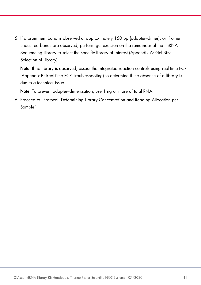5. If a prominent band is observed at approximately 150 bp (adapter–dimer), or if other undesired bands are observed, perform gel excision on the remainder of the miRNA Sequencing Library to select the specific library of interest [\(Appendix A: Gel Size](#page-49-0)  [Selection of Library\)](#page-49-0).

Note: If no library is observed, assess the integrated reaction controls using real-time PCR [\(Appendix B: Real-time PCR Troubleshooting\)](#page-51-0) to determine if the absence of a library is due to a technical issue.

Note: To prevent adapter–dimerization, use 1 ng or more of total RNA.

6. Proceed to ["Protocol: Determining Library Concentration and Reading Allocation per](#page-41-0)  [Sample"](#page-41-0).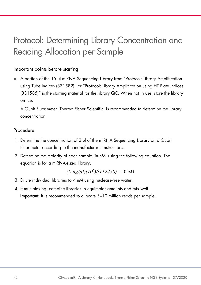# <span id="page-41-0"></span>Protocol: Determining Library Concentration and Reading Allocation per Sample

# Important points before starting

 A portion of the 15 µl miRNA Sequencing Library from ["Protocol: Library Amplification](#page-29-0)  [using Tube Indices \(331582\)"](#page-29-0) or ["Protocol: Library Amplification using HT Plate Indices](#page-33-0)  [\(331585\)"](#page-33-0) is the starting material for the library QC. When not in use, store the library on ice.

A Qubit Fluorimeter (Thermo Fisher Scientific) is recommended to determine the library concentration.

### Procedure

- 1. Determine the concentration of 2 µl of the miRNA Sequencing Library on a Qubit Fluorimeter according to the manufacturer's instructions.
- 2. Determine the molarity of each sample (in nM) using the following equation. The equation is for a miRNA-sized library.

$$
(X \, ng/\mu I)(10^6)/(112450) = Y \, nM
$$

- 3. Dilute individual libraries to 4 nM using nuclease-free water.
- 4. If multiplexing, combine libraries in equimolar amounts and mix well. Important: It is recommended to allocate 5–10 million reads per sample.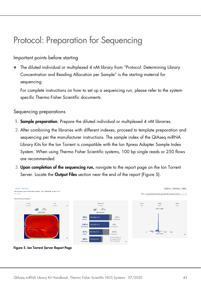# <span id="page-42-0"></span>Protocol: Preparation for Sequencing

### Important points before starting

 The diluted individual or multiplexed 4 nM library from ["Protocol: Determining Library](#page-41-0)  [Concentration and Reading Allocation per Sample"](#page-41-0) is the starting material for sequencing.

For complete instructions on how to set up a sequencing run, please refer to the systemspecific Thermo Fisher Scientific documents.

### Sequencing preparations

- 1. **Sample preparation**: Prepare the diluted individual or multiplexed 4 nM libraries.
- 2. After combining the libraries with different indexes, proceed to template preparation and sequencing per the manufacturer instructions. The sample index of the QIAseq miRNA Library Kits for the Ion Torrent is compatible with the Ion Xpress Adapter Sample Index System. When using Thermo Fisher Scientific systems, 100 bp single reads or 250 flows are recommended.
- 3. Upon completion of the sequencing run, navigate to the report page on the Ion Torrent Server. Locate the **Output Files** section near the end of the report [\(Figure 5\)](#page-42-1).



<span id="page-42-1"></span>Figure 5. Ion Torrent Server Report Page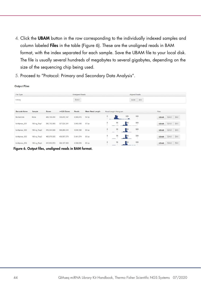- 4. Click the UBAM button in the row corresponding to the individually indexed samples and column labeled Files in the table [\(Figure 6\)](#page-43-0). These are the unaligned reads in BAM format, with the index separated for each sample. Save the UBAM file to your local disk. The file is usually several hundreds of megabytes to several gigabytes, depending on the size of the sequencing chip being used.
- 5. Proceed to "Protocol: Primary and Secondary Data Analysis".

| File Type           |             |              |               | <b>Unaligned Reads</b> |                  |                     |                       |     | Aligned Reads     |             |            |     |
|---------------------|-------------|--------------|---------------|------------------------|------------------|---------------------|-----------------------|-----|-------------------|-------------|------------|-----|
| Library             |             |              |               | <b>BAM</b>             |                  |                     |                       |     | BAI<br><b>BAM</b> |             |            |     |
| <b>Barcode Name</b> | Sample      | <b>Bases</b> | $>=Q20$ Bases | Reads                  | Mean Read Length |                     | Read Length Histogram |     |                   | Files       |            |     |
| No barcode          | <b>None</b> | 489,190,456  | 330,410,147   | 8,908,419              | 54 bp            |                     |                       | 100 | 150               | <b>UBAM</b> | <b>BAM</b> | BAI |
| IonXpress_001       | 100 ng Rep1 | 350.782.869  | 327,928,391   | 3,992,436              | 87 bp            | $\circ$             | 50                    |     | 150               | <b>UBAM</b> | <b>BAM</b> | BAI |
| IonXpress_002       | 100 ng Rep2 | 419,584,989  | 398,269,544   | 4,646,126              | 90 bp            | $\circ$             | 50<br>-               |     | 150               | <b>UBAM</b> | <b>BAM</b> | BAI |
| IonXpress_003       | 100 ng Rep3 | 485,076,905  | 458,567,279   | 5,481,674              | 88 bp            | $\circ$             | 50                    |     | 150               | <b>UBAM</b> | <b>BAM</b> | BAI |
| IonXpress 004       | 100 ng Rep4 | 410,653,053  | 388, 137, 860 | 4,599,339              | 89 bp            | $\ddot{\mathbf{0}}$ | 50                    |     | 150               | <b>UBAM</b> | <b>BAM</b> | BAI |

**Output Files** 

<span id="page-43-0"></span>Figure 6. Output files, unaligned reads in BAM format.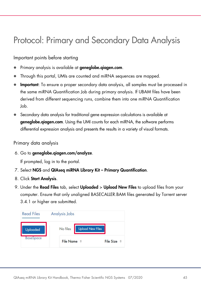# <span id="page-44-0"></span>Protocol: Primary and Secondary Data Analysis

Important points before starting

- Primary analysis is available at **geneglobe.giagen.com**.
- Through this portal, UMIs are counted and miRNA sequences are mapped.
- Important: To ensure a proper secondary data analysis, all samples must be processed in the same miRNA Quantification Job during primary analysis. If UBAM files have been derived from different sequencing runs, combine them into one miRNA Quantification Job.
- Secondary data analysis for traditional gene expression calculations is available at geneglobe.qiagen.com. Using the UMI counts for each miRNA, the software performs differential expression analysis and presents the results in a variety of visual formats.

Primary data analysis

6. Go to geneglobe.qiagen.com/analyze.

If prompted, log in to the portal.

- 7. Select NGS and QIAseq miRNA Library Kit Primary Quantification.
- 8. Click Start Analysis.
- 9. Under the **Read Files** tab, select **Uploaded > Upload New Files** to upload files from your computer. Ensure that only unaligned BASECALLER.BAM files generated by Torrent server 3.4.1 or higher are submitted.

| <b>Read Files</b> | Analysis Jobs                       |                  |
|-------------------|-------------------------------------|------------------|
| Uploaded          | No files<br><b>Upload New Files</b> |                  |
| <b>BaseSpace</b>  | File Name $\hat{=}$                 | <b>File Size</b> |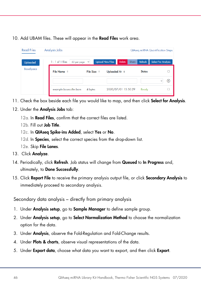10. Add UBAM files. These will appear in the Read Files work area.

| <b>Read Files</b> | Analysis Jobs |                                   |                        |                                   | <b>QIAseq miRNA Quantification Steps</b> |               |                            |  |  |
|-------------------|---------------|-----------------------------------|------------------------|-----------------------------------|------------------------------------------|---------------|----------------------------|--|--|
| <b>Uploaded</b>   |               | $1 - 1$ of 1 files<br>50 per page | $\checkmark$           | <b>Upload New Files</b><br>Delete | Share                                    | Refresh       | <b>Select For Analysis</b> |  |  |
| <b>BaseSpace</b>  |               | File Name $\hat{=}$               | File Size $\triangleq$ | Uploaded At $\hat{=}$             |                                          | <b>Status</b> |                            |  |  |
|                   |               |                                   |                        |                                   |                                          |               | (×)                        |  |  |
|                   |               | example.basecaller.bam            | 4 bytes                | 2020/07/01 15:50:29               |                                          | Ready         |                            |  |  |

- 11. Check the box beside each file you would like to map, and then click **Select for Analysis**.
- 12. Under the **Analysis Jobs** tab:
	- 12a. In Read Files, confirm that the correct files are listed.
	- 12b. Fill out Job Title.
	- 12c. In QIAseq Spike-ins Added, select Yes or No.
	- 12d. In Species, select the correct species from the drop-down list.
	- 12e. Skip File Lanes.
- 13. Click Analyze.
- 14. Periodically, click Refresh. Job status will change from Queued to In Progress and, ultimately, to Done Successfully.
- 15. Click Report File to receive the primary analysis output file, or click Secondary Analysis to immediately proceed to secondary analysis.

Secondary data analysis – directly from primary analysis

- 1. Under **Analysis setup**, go to **Sample Manager** to define sample group.
- 2. Under Analysis setup, go to Select Normalization Method to choose the normalization option for the data.
- 3. Under **Analysis**, observe the Fold-Regulation and Fold-Change results.
- 4. Under **Plots & charts**, observe visual representations of the data.
- 5. Under Export data, choose what data you want to export, and then click Export.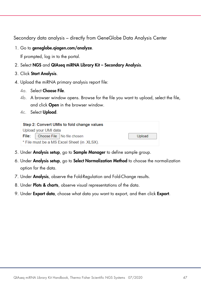Secondary data analysis – directly from GeneGlobe Data Analysis Center

1. Go to [geneglobe.qiagen.com/](http://www.qiagen.com/data%20analysis)analyze.

If prompted, log in to the portal.

- 2. Select NGS and QIAseq miRNA Library Kit Secondary Analysis.
- 3. Click Start Analysis.
- 4. Upload the miRNA primary analysis report file:
	- 4a. Select Choose File.
	- 4b. A browser window opens. Browse for the file you want to upload, select the file, and click Open in the browser window.
	- 4c. Select Upload.

| Step 2: Convert UMIs to fold change values  |                            |        |  |  |  |
|---------------------------------------------|----------------------------|--------|--|--|--|
| Upload your UMI data                        |                            |        |  |  |  |
| File:                                       | Choose File No file chosen | Upload |  |  |  |
| * File must be a MS Excel Sheet (in .XLSX). |                            |        |  |  |  |

- 5. Under Analysis setup, go to Sample Manager to define sample group.
- 6. Under Analysis setup, go to Select Normalization Method to choose the normalization option for the data.
- 7. Under Analysis, observe the Fold-Regulation and Fold-Change results.
- 8. Under Plots & charts, observe visual representations of the data.
- 9. Under Export data, choose what data you want to export, and then click Export.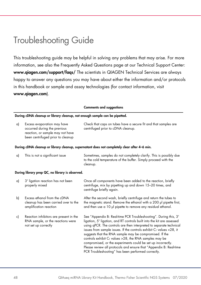# <span id="page-47-0"></span>Troubleshooting Guide

This troubleshooting guide may be helpful in solving any problems that may arise. For more information, see also the Frequently Asked Questions page at our Technical Support Center: [www.qiagen.com/support/faqs/](http://www.qiagen.com/support/faqs/) The scientists in QIAGEN Technical Services are always happy to answer any questions you may have about either the information and/or protocols in this handbook or sample and assay technologies (for contact information, visit www.qiagen.com).

|    |                                                                                                                                      | <b>Comments and suggestions</b>                                                                                                                                                                                                                                                                                                                                                                                                                                                                                                                                                                                |
|----|--------------------------------------------------------------------------------------------------------------------------------------|----------------------------------------------------------------------------------------------------------------------------------------------------------------------------------------------------------------------------------------------------------------------------------------------------------------------------------------------------------------------------------------------------------------------------------------------------------------------------------------------------------------------------------------------------------------------------------------------------------------|
|    | During cDNA cleanup or library cleanup, not enough sample can be pipetted.                                                           |                                                                                                                                                                                                                                                                                                                                                                                                                                                                                                                                                                                                                |
| a) | Excess evaporation may have<br>occurred during the previous<br>reaction, or sample may not have<br>been centrifuged prior to cleanup | Check that caps on tubes have a secure fit and that samples are<br>centrifuged prior to cDNA cleanup.                                                                                                                                                                                                                                                                                                                                                                                                                                                                                                          |
|    |                                                                                                                                      | During cDNA cleanup or library cleanup, supernatant does not completely clear after 4–6 min.                                                                                                                                                                                                                                                                                                                                                                                                                                                                                                                   |
| a) | This is not a significant issue                                                                                                      | Sometimes, samples do not completely clarify. This is possibly due<br>to the cold temperature of the buffer. Simply proceed with the<br>cleanup.                                                                                                                                                                                                                                                                                                                                                                                                                                                               |
|    | During library prep QC, no library is observed.                                                                                      |                                                                                                                                                                                                                                                                                                                                                                                                                                                                                                                                                                                                                |
| a) | 3' ligation reaction has not been<br>properly mixed                                                                                  | Once all components have been added to the reaction, briefly<br>centrifuge, mix by pipetting up and down 15-20 times, and<br>centrifuge briefly again.                                                                                                                                                                                                                                                                                                                                                                                                                                                         |
| b) | Excess ethanol from the cDNA<br>cleanup has been carried over to the<br>amplification reaction                                       | After the second wash, briefly centrifuge and return the tubes to<br>the magnetic stand. Remove the ethanol with a 200 µl pipette first,<br>and then use a 10 µ pipette to remove any residual ethanol.                                                                                                                                                                                                                                                                                                                                                                                                        |
| c) | Reaction inhibitors are present in the<br>RNA sample, or the reactions were<br>not set up correctly                                  | See "Appendix B: Real-time PCR Troubleshooting". During this, 3'<br>ligation, 5' ligation, and RT controls built into the kit are assessed<br>using qPCR. The controls are then interpreted to separate technical<br>issues from sample issues. If the controls exhibit $CT$ values <28, it<br>suggests that the RNA sample may be compromised. If the<br>controls exhibit $CT$ values >28, the RNA samples may be<br>compromised, or the experiments could be set up incorrectly.<br>Please review all protocols and ensure that "Appendix B: Real-time<br>PCR Troubleshooting" has been performed correctly. |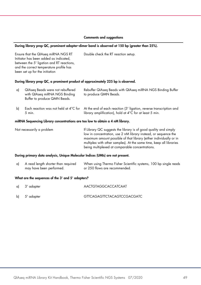#### Comments and suggestions

#### During library prep QC, prominent adapter–dimer band is observed at 150 bp (greater than 25%).

Ensure that the QIAseq miRNA NGS RT Initiator has been added as indicated, between the 5' ligation and RT reactions, and the correct temperature profile has been set up for the initiation Double check the RT reaction setup.

#### During library prep QC, a prominent product of approximately 225 bp is observed.

| a)                                                                            | QIAseg Beads were not rebuffered<br>with QIAseq miRNA NGS Binding<br>Buffer to produce QMN Beads. | Rebuffer QIAseq Beads with QIAseq miRNA NGS Binding Buffer<br>to produce QMN Beads.                                                                                  |  |  |
|-------------------------------------------------------------------------------|---------------------------------------------------------------------------------------------------|----------------------------------------------------------------------------------------------------------------------------------------------------------------------|--|--|
| bl                                                                            | 5 min.                                                                                            | Each reaction was not held at 4°C for At the end of each reaction (3' ligation, reverse transcription and<br>library amplification), hold at 4°C for at least 5 min. |  |  |
| miRNA Sequencing Library concentrations are too low to obtain a 4 nM library. |                                                                                                   |                                                                                                                                                                      |  |  |

| Not necessarily a problem | If Library QC suggests the library is of good quality and simply    |
|---------------------------|---------------------------------------------------------------------|
|                           | low in concentration, use 2 nM library instead, or sequence the     |
|                           | maximum amount possible of that library (either individually or in  |
|                           | multiplex with other samples). At the same time, keep all libraries |
|                           | being multiplexed at comparable concentrations.                     |

#### During primary data analysis, Unique Molecular Indices (UMIs) are not present.

| a) A read length shorter than required | When using Thermo Fisher Scientific systems, 100 bp single reads |  |
|----------------------------------------|------------------------------------------------------------------|--|
| mav have been performed.               | or 250 flows are recommended.                                    |  |

#### What are the sequences of the 3' and 5' adapters?

| a) 3' adapter | AACTGTAGGCACCATCAAT        |
|---------------|----------------------------|
| b) 5' adapter | GTTCAGAGTTCTACAGTCCGACGATC |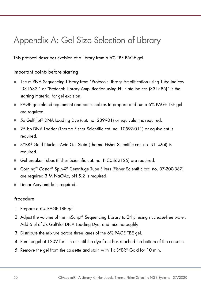# <span id="page-49-0"></span>Appendix A: Gel Size Selection of Library

This protocol describes excision of a library from a 6% TBE PAGE gel.

Important points before starting

- The miRNA Sequencing Library from ["Protocol: Library Amplification using Tube Indices](#page-29-0)  [\(331582\)"](#page-29-0) or ["Protocol: Library Amplification using HT Plate Indices \(331585\)"](#page-33-0) is the starting material for gel excision.
- PAGE gel-related equipment and consumables to prepare and run a 6% PAGE TBE gel are required.
- 5x GelPilot<sup>®</sup> DNA Loading Dye (cat. no. 239901) or equivalent is required.
- 25 bp DNA Ladder (Thermo Fisher Scientific cat. no. 10597-011) or equivalent is required.
- SYBR® Gold Nucleic Acid Gel Stain (Thermo Fisher Scientific cat. no. S11494) is required.
- Gel Breaker Tubes (Fisher Scientific cat. no. NC0462125) are required.
- Corning<sup>®</sup> Costar® Spin-X® Centrifuge Tube Filters (Fisher Scientific cat. no. 07-200-387) are required.3 M NaOAc, pH 5.2 is required.
- **Exercise Linear Acrylamide is required.**

### Procedure

- 1. Prepare a 6% PAGE TBE gel.
- 2. Adjust the volume of the miScript<sup>®</sup> Sequencing Library to 24  $\mu$  using nuclease-free water. Add 6 µl of 5x GelPilot DNA Loading Dye, and mix thoroughly.
- 3. Distribute the mixture across three lanes of the 6% PAGE TBE gel.
- 4. Run the gel at 120V for 1 h or until the dye front has reached the bottom of the cassette.
- 5. Remove the gel from the cassette and stain with 1x SYBR® Gold for 10 min.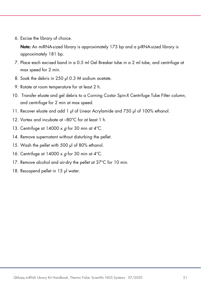6. Excise the library of choice.

Note: An miRNA-sized library is approximately 173 bp and a piRNA-sized library is approximately 181 bp.

- 7. Place each excised band in a 0.5 ml Gel Breaker tube in a 2 ml tube, and centrifuge at max speed for 2 min.
- 8. Soak the debris in 250 ul 0.3 M sodium acetate.
- 9. Rotate at room temperature for at least 2 h.
- 10. Transfer eluate and gel debris to a Corning Costar Spin-X Centrifuge Tube Filter column, and centrifuge for 2 min at max speed.
- 11. Recover eluate and add 1 µl of Linear Acrylamide and 750 µl of 100% ethanol.
- 12. Vortex and incubate at –80°C for at least 1 h.
- 13. Centrifuge at 14000 x  $q$  for 30 min at 4°C.
- 14. Remove supernatant without disturbing the pellet.
- 15. Wash the pellet with 500 µl of 80% ethanol.
- 16. Centrifuge at 14000 x  $q$  for 30 min at 4°C.
- 17. Remove alcohol and air-dry the pellet at 37°C for 10 min.
- 18. Resuspend pellet in 15 µl water.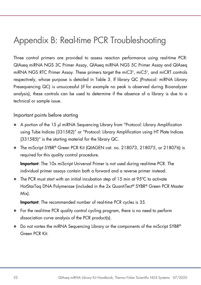# <span id="page-51-0"></span>Appendix B: Real-time PCR Troubleshooting

Three control primers are provided to assess reaction performance using real-time PCR: QIAseq miRNA NGS 3C Primer Assay, QIAseq miRNA NGS 5C Primer Assay and QIAseq miRNA NGS RTC Primer Assay. These primers target the miC3', miC5', and miCRT controls respectively, whose purpose is detailed in [Table 3.](#page-12-0) If library QC [\(Protocol: miRNA Library](#page-38-0)  [Presequencing QC\)](#page-38-0) is unsuccessful (if for example no peak is observed during Bioanalyzer analysis), these controls can be used to determine if the absence of a library is due to a technical or sample issue.

Important points before starting

- A portion of the 15 µl miRNA Sequencing Library from "Protocol: Library Amplification [using Tube Indices \(331582\)"](#page-29-0) or ["Protocol: Library Amplification using HT Plate Indices](#page-33-0)  [\(331585\)"](#page-33-0) is the starting material for the library QC.
- The miScript SYBR® Green PCR Kit (QIAGEN cat. no. 218073, 218075, or 218076) is required for this quality control procedure.

Important: The 10x miScript Universal Primer is not used during real-time PCR. The individual primer assays contain both a forward and a reverse primer instead.

 The PCR must start with an initial incubation step of 15 min at 95ºC to activate HotStarTag DNA Polymerase (included in the 2x QuantiTect® SYBR® Green PCR Master Mix).

### Important: The recommended number of real-time PCR cycles is 35.

- For the real-time PCR quality control cycling program, there is no need to perform dissociation curve analysis of the PCR product(s).
- Do not vortex the miRNA Sequencing Library or the components of the miScript SYBR<sup>®</sup> Green PCR Kit.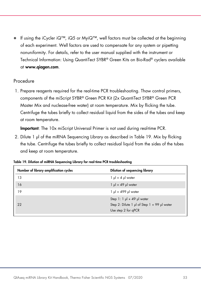• If using the iCycler iQ™, iQ5 or MyiQ™, well factors must be collected at the beginning of each experiment. Well factors are used to compensate for any system or pipetting nonuniformity. For details, refer to the user manual supplied with the instrument or Technical Information: Using QuantiTect SYBR® Green Kits on Bio-Rad® cyclers available at [www.qiagen.com](http://www.qiagen.com/).

### Procedure

1. Prepare reagents required for the real-time PCR troubleshooting. Thaw control primers, components of the miScript SYBR® Green PCR Kit (2x QuantiTect SYBR® Green PCR Master Mix and nuclease-free water) at room temperature. Mix by flicking the tube. Centrifuge the tubes briefly to collect residual liquid from the sides of the tubes and keep at room temperature.

Important: The 10x miScript Universal Primer is not used during real-time PCR.

2. Dilute 1 µl of the miRNA Sequencing Library as described in [Table 19.](#page-52-0) Mix by flicking the tube. Centrifuge the tubes briefly to collect residual liquid from the sides of the tubes and keep at room temperature.

| Number of library amplification cycles | Dilution of sequencing library                                                                             |
|----------------------------------------|------------------------------------------------------------------------------------------------------------|
| 13                                     | $1 \text{ pl} + 4 \text{ pl}$ water                                                                        |
| 16                                     | $1 \text{ pl} + 49 \text{ pl}$ water                                                                       |
| 19                                     | $1 \text{ pl} + 499 \text{ pl}$ water                                                                      |
| 22                                     | Step 1: 1 $\mu$ l + 49 $\mu$ l water<br>Step 2: Dilute 1 µl of Step 1 + 99 µl water<br>Use step 2 for gPCR |

<span id="page-52-0"></span>

|  |  | Table 19. Dilution of miRNA Sequencing Library for real-time PCR troubleshooting |  |
|--|--|----------------------------------------------------------------------------------|--|
|  |  |                                                                                  |  |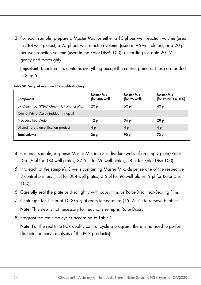<span id="page-53-2"></span>3. For each sample, prepare a Master Mix for either a 10 µl per well reaction volume (used in 384-well plates), a 25 µl per well reaction volume (used in 96-well plates), or a 20 µl per well reaction volume (used in the Rotor-Disc® 100), according to [Table 20.](#page-53-0) Mix gently and thoroughly.

Important: Reaction mix contains everything except the control primers. These are added in Step 5.

| Component                                | Master Mix<br>(for 384 well) | Master Mix<br>(for 96-well) | Master Mix<br>(for Rotor-Disc 100) |
|------------------------------------------|------------------------------|-----------------------------|------------------------------------|
| 2x QuantiTect SYBR® Green PCR Master Mix | $20 \mu$                     | 50 µl                       | 40 ul                              |
| Control Primer Assay (added in step 5)   |                              |                             |                                    |
| Nuclease-free Water                      | $12 \mu$                     | 36 µl                       | $28$ pl                            |
| Diluted library amplification product    | $4 \mu$                      | $4 \mu$                     | $4 \mu$                            |
| Total volume                             | 36 pl                        | ار 90                       | 72 yl                              |

#### <span id="page-53-0"></span>Table 20. Setup of real-time PCR troubleshooting

- 4. For each sample, dispense Master Mix into 3 individual wells of an empty plate/Rotor-Disc (9 μl for 384-well plates, 22.5 μl for 96-well plates, 18 μl for Rotor-Disc 100).
- <span id="page-53-1"></span>5. Into each of the sample's 3 wells containing Master Mix, dispense one of the respective 3 control primers (1 μl for 384-well plates, 2.5 μl for 96-well plates, 2 μl for Rotor-Disc 100).
- 6. Carefully seal the plate or disc tightly with caps, film, or Rotor-Disc Heat-Sealing Film.
- 7. Centrifuge for 1 min at 1000 x  $g$  at room temperature (15-25°C) to remove bubbles. Note: This step is not necessary for reactions set up in Rotor-Discs.
- 8. Program the real-time cycler according to [Table 21.](#page-53-2)

Note: For the real-time PCR quality control cycling program, there is no need to perform dissociation curve analysis of the PCR product(s).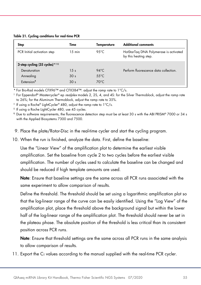Table 21. Cycling conditions for real-time PCR

| <b>Step</b>                                   | Time             | Temperature    | <b>Additional comments</b>                                      |
|-----------------------------------------------|------------------|----------------|-----------------------------------------------------------------|
| PCR Initial activation step                   | $15 \text{ min}$ | 95 $°C$        | HotStarTag DNA Polymerase is activated<br>by this heating step. |
| 3-step cycling (35 cycles) $*$ <sup>118</sup> |                  |                |                                                                 |
| Denaturation                                  | 15 <sub>s</sub>  | $94^{\circ}$ C | Perform fluorescence data collection.                           |
| Annealing                                     | 30 <sub>s</sub>  | $55^{\circ}$ C |                                                                 |
| Extension <sup>1</sup>                        | 30 <sub>s</sub>  | $70^{\circ}$ C |                                                                 |

\* For Bio-Rad models CFX96™ and CFX384™: adjust the ramp rate to 1°C/s.

† For Eppendorf® Mastercycler® ep realplex models 2, 2S, 4, and 4S: for the Silver Thermoblock, adjust the ramp rate to 26%; for the Aluminum Thermoblock, adjust the ramp rate to 35%.

‡ If using a Roche® LightCycler® 480, adjust the ramp rate to 1°C/s.

§ If using a Roche LightCycler 480, use 45 cycles.

¶ Due to software requirements, the fluorescence detection step must be at least 30 s with the ABI PRISM® 7000 or 34 s with the Applied Biosystems 7300 and 7500.

9. Place the plate/Rotor-Disc in the real-time cycler and start the cycling program.

10. When the run is finished, analyze the data. First, define the baseline:

Use the "Linear View" of the amplification plot to determine the earliest visible amplification. Set the baseline from cycle 2 to two cycles before the earliest visible amplification. The number of cycles used to calculate the baseline can be changed and should be reduced if high template amounts are used.

Note: Ensure that baseline settings are the same across all PCR runs associated with the same experiment to allow comparison of results.

Define the threshold. The threshold should be set using a logarithmic amplification plot so that the log-linear range of the curve can be easily identified. Using the "Log View" of the amplification plot, place the threshold above the background signal but within the lower half of the log-linear range of the amplification plot. The threshold should never be set in the plateau phase. The absolute position of the threshold is less critical than its consistent position across PCR runs.

Note: Ensure that threshold settings are the same across all PCR runs in the same analysis to allow comparison of results.

11. Export the  $C_I$  values according to the manual supplied with the real-time PCR cycler.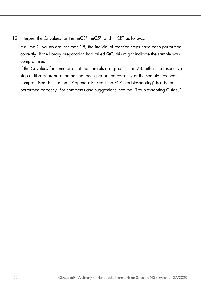12. Interpret the C<sub>T</sub> values for the miC3', miC5', and miCRT as follows.

If all the  $C<sub>I</sub>$  values are less than 28, the individual reaction steps have been performed correctly. If the library preparation had failed QC, this might indicate the sample was compromised.

If the  $C<sub>T</sub>$  values for some or all of the controls are greater than 28, either the respective step of library preparation has not been performed correctly or the sample has been compromised. Ensure that ["Appendix B: Real-time PCR Troubleshooting"](#page-51-0) has been performed correctly. For comments and suggestions, see the ["Troubleshooting Guide.](#page-44-0)"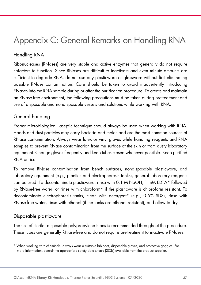# <span id="page-56-0"></span>Appendix C: General Remarks on Handling RNA

# Handling RNA

Ribonucleases (RNases) are very stable and active enzymes that generally do not require cofactors to function. Since RNases are difficult to inactivate and even minute amounts are sufficient to degrade RNA, do not use any plasticware or glassware without first eliminating possible RNase contamination. Care should be taken to avoid inadvertently introducing RNases into the RNA sample during or after the purification procedure. To create and maintain an RNase-free environment, the following precautions must be taken during pretreatment and use of disposable and nondisposable vessels and solutions while working with RNA.

### General handling

Proper microbiological, aseptic technique should always be used when working with RNA. Hands and dust particles may carry bacteria and molds and are the most common sources of RNase contamination. Always wear latex or vinyl gloves while handling reagents and RNA samples to prevent RNase contamination from the surface of the skin or from dusty laboratory equipment. Change gloves frequently and keep tubes closed whenever possible. Keep purified RNA on ice.

To remove RNase contamination from bench surfaces, nondisposable plasticware, and laboratory equipment (e.g., pipettes and electrophoresis tanks), general laboratory reagents can be used. To decontaminate plasticware, rinse with 0.1 M NaOH, 1 mM EDTA[\\*](#page-56-1) followed by RNase-free water, or rinse with chloroform[\\*](#page-56-2) if the plasticware is chloroform resistant. To decontaminate electrophoresis tanks, clean with detergent\* (e.g., 0.5% SDS), rinse with RNase-free water, rinse with ethanol (if the tanks are ethanol resistant), and allow to dry.

### Disposable plasticware

The use of sterile, disposable polypropylene tubes is recommended throughout the procedure. These tubes are generally RNase-free and do not require pretreatment to inactivate RNases.

<span id="page-56-2"></span><span id="page-56-1"></span><sup>\*</sup> When working with chemicals, always wear a suitable lab coat, disposable gloves, and protective goggles. For more information, consult the appropriate safety data sheets (SDSs) available from the product supplier.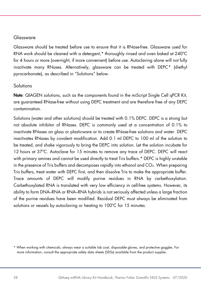### <span id="page-57-0"></span>Glassware

Glassware should be treated before use to ensure that it is RNase-free. Glassware used for RNA work should be cleaned with a detergent,\* thoroughly rinsed and oven baked at 240ºC for 4 hours or more (overnight, if more convenient) before use. Autoclaving alone will not fully inactivate many RNases. Alternatively, glassware can be treated with DEPC[\\*](#page-57-1) (diethyl pyrocarbonate), as described in "Solutions" below.

### Solutions

Note: QIAGEN solutions, such as the components found in the miScript Single Cell qPCR Kit, are guaranteed RNase-free without using DEPC treatment and are therefore free of any DEPC contamination.

Solutions (water and other solutions) should be treated with 0.1% DEPC. DEPC is a strong but not absolute inhibitor of RNases. DEPC is commonly used at a concentration of 0.1% to inactivate RNases on glass or plasticware or to create RNase-free solutions and water. DEPC inactivates RNases by covalent modification. Add 0.1 ml DEPC to 100 ml of the solution to be treated, and shake vigorously to bring the DEPC into solution. Let the solution incubate for 12 hours at 37ºC. Autoclave for 15 minutes to remove any trace of DEPC. DEPC will react with primary amines and cannot be used directly to treat Tris buffers.\* DEPC is highly unstable in the presence of Tris buffers and decomposes rapidly into ethanol and CO2. When preparing Tris buffers, treat water with DEPC first, and then dissolve Tris to make the appropriate buffer. Trace amounts of DEPC will modify purine residues in RNA by carbethoxylation. Carbethoxylated RNA is translated with very low efficiency in cell-free systems. However, its ability to form DNA–RNA or RNA–RNA hybrids is not seriously affected unless a large fraction of the purine residues have been modified. Residual DEPC must always be eliminated from solutions or vessels by autoclaving or heating to 100°C for 15 minutes.

<span id="page-57-1"></span><sup>\*</sup> When working with chemicals, always wear a suitable lab coat, disposable gloves, and protective goggles. For more information, consult the appropriate safety data sheets (SDSs) available from the product supplier.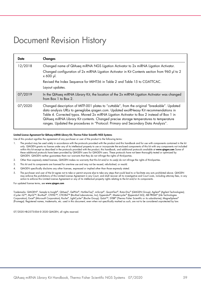# Document Revision History

| Date    | Changes                                                                                                                                                                                                                                                                                                                                                                                                                                                          |
|---------|------------------------------------------------------------------------------------------------------------------------------------------------------------------------------------------------------------------------------------------------------------------------------------------------------------------------------------------------------------------------------------------------------------------------------------------------------------------|
| 12/2018 | Changed name of QIAseq miRNA NGS Ligation Activator to 2x miRNA Ligation Activator.                                                                                                                                                                                                                                                                                                                                                                              |
|         | Changed configuration of 2x miRNA Ligation Activator in Kit Contents section from 960 µl to 2<br>x 600 µl.                                                                                                                                                                                                                                                                                                                                                       |
|         | Revised the Index Sequence for MIHT56 in Table 2 and Table 15 to CGATTCAC.                                                                                                                                                                                                                                                                                                                                                                                       |
|         | Layout updates.                                                                                                                                                                                                                                                                                                                                                                                                                                                  |
| 07/2019 | In the QIAseg miRNA Library Kit, the location of the 2x miRNA Ligation Activator was changed<br>from Box $1$ to Box 2.                                                                                                                                                                                                                                                                                                                                           |
| 07/2020 | Changed description of MITF-001 plates to "cuttable", from the original "breakable". Updated<br>data analysis URLs to geneglobe.giagen.com. Updated exoRNeasy Kit recommendations in<br>Table 4. Corrected typos. Moved 2x miRNA Ligation Activator to Box 2 instead of Box 1 in<br>QIAseq miRNA Library Kit contents. Changed precise storage temperatures to temperature<br>ranges. Updated the procedures in "Protocol: Primary and Secondary Data Analysis". |

#### Limited License Agreement for QIAseq miRNA Library Kit, Thermo Fisher Scientific NGS Systems

Use of this product signifies the agreement of any purchaser or user of the product to the following terms:

- The product may be used solely in accordance with the protocols provided with the product and this handbook and for use with components contained in the kit only. QIAGEN grants no license under any of its intellectual property to use or incorporate the enclosed components of this kit with any components not included within this kit except as described in the protocols provided with the product, this handbook, and additional protocols available at www.qiagen.com Some of these additional protocols have been provided by QIAGEN users for QIAGEN users. These protocols have not been thoroughly tested or optimized by QIAGEN. QIAGEN neither guarantees them nor warrants that they do not infringe the rights of third-parties.
- 2. Other than expressly stated licenses, QIAGEN makes no warranty that this kit and/or its use(s) do not infringe the rights of third-parties.
- 3. This kit and its components are licensed for one-time use and may not be reused, refurbished, or resold.
- 4. QIAGEN specifically disclaims any other licenses, expressed or implied other than those expressly stated.
- 5. The purchaser and user of the kit agree not to take or permit anyone else to take any steps that could lead to or facilitate any acts prohibited above. QIAGEN may enforce the prohibitions of this Limited License Agreement in any Court, and shall recover all its investigative and Court costs, including attorney fees, in any action to enforce this Limited License Agreement or any of its intellectual property rights relating to the kit and/or its components.

For updated license terms, see [www.qiagen.com](http://www.qiagen.com/)

Trademarks: QIAGEN®, Sample to Insight®, QIAseq®, GelPilot®, HotStarTaq®, miScript®, QuantiTect®, RotorDisc® (QIAGEN Group); Agilent® (Agilent Technologies);<br>iCycler iQ™, MyiQ™, Bio-Rad®, CFX96™, CFX384™ (Bio-Rad Laborato Corporation); Excel® (Microsoft Corporation); Roche®, LightCycler® (Roche Group); Qubit™, SYBR® (Thermo Fisher Scientific or its subsidiaries); MagneSphere® (Promega). Registered names, trademarks, etc. used in this document, even when not specifically marked as such, are not to be considered unprotected by law.

07/2020 HB-2573-004 © 2020 QIAGEN, all rights reserved.